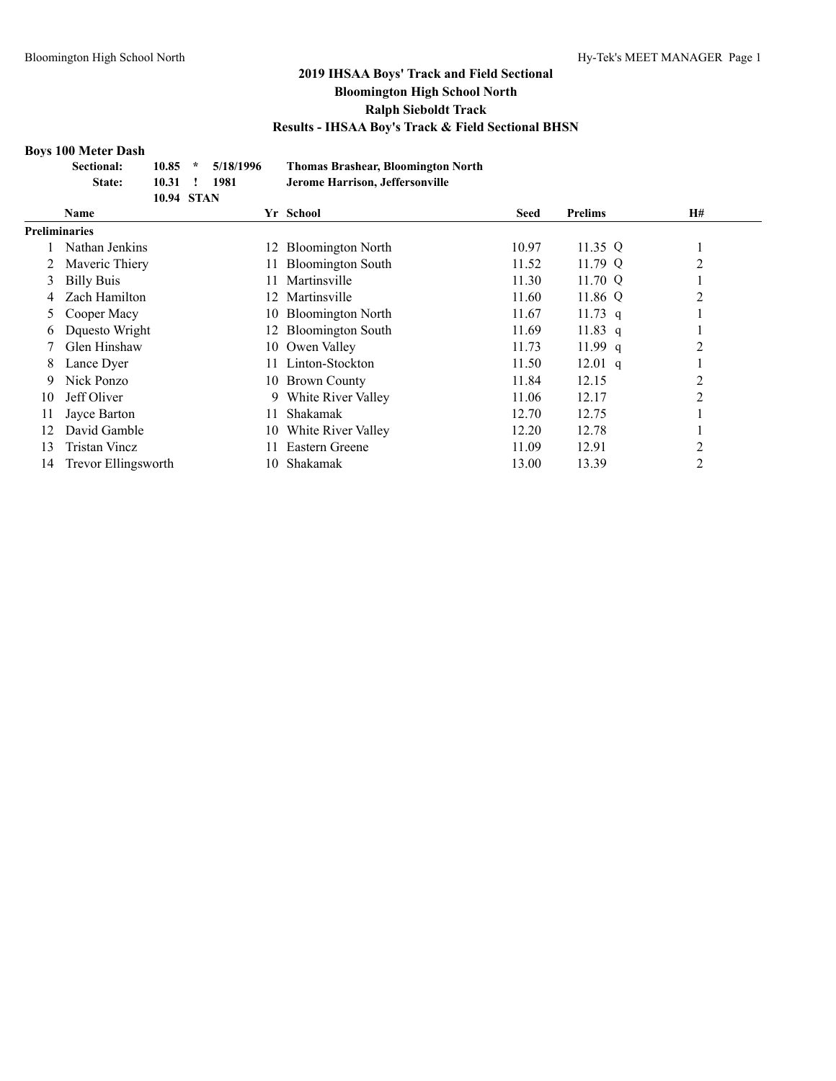#### **Boys 100 Meter Dash**

|    | <b>Sectional:</b>    | 10.85      | $\ast$ | 5/18/1996 |    | <b>Thomas Brashear, Bloomington North</b> |             |                |    |  |  |
|----|----------------------|------------|--------|-----------|----|-------------------------------------------|-------------|----------------|----|--|--|
|    | State:               | 10.31      |        | 1981      |    | Jerome Harrison, Jeffersonville           |             |                |    |  |  |
|    |                      | 10.94 STAN |        |           |    |                                           |             |                |    |  |  |
|    | <b>Name</b>          |            |        |           |    | Yr School                                 | <b>Seed</b> | <b>Prelims</b> | H# |  |  |
|    | <b>Preliminaries</b> |            |        |           |    |                                           |             |                |    |  |  |
|    | Nathan Jenkins       |            |        |           | 12 | <b>Bloomington North</b>                  | 10.97       | 11.35 Q        |    |  |  |
|    | Maveric Thiery       |            |        |           |    | <b>Bloomington South</b>                  | 11.52       | 11.79 Q        | 2  |  |  |
| 3  | <b>Billy Buis</b>    |            |        |           |    | Martinsville                              | 11.30       | 11.70 $Q$      |    |  |  |
|    | Zach Hamilton        |            |        |           | 12 | Martinsville                              | 11.60       | 11.86 Q        | 2  |  |  |
| 5  | Cooper Macy          |            |        |           |    | 10 Bloomington North                      | 11.67       | $11.73$ q      |    |  |  |
| 6  | Dquesto Wright       |            |        |           | 12 | <b>Bloomington South</b>                  | 11.69       | $11.83$ q      |    |  |  |
|    | Glen Hinshaw         |            |        |           |    | 10 Owen Valley                            | 11.73       | 11.99q         | 2  |  |  |
| 8  | Lance Dyer           |            |        |           |    | Linton-Stockton                           | 11.50       | $12.01$ q      |    |  |  |
| 9  | Nick Ponzo           |            |        |           |    | 10 Brown County                           | 11.84       | 12.15          | 2  |  |  |
| 10 | Jeff Oliver          |            |        |           | 9  | White River Valley                        | 11.06       | 12.17          | 2  |  |  |
| 11 | Jayce Barton         |            |        |           |    | Shakamak                                  | 12.70       | 12.75          |    |  |  |
| 12 | David Gamble         |            |        |           | 10 | White River Valley                        | 12.20       | 12.78          |    |  |  |
| 13 | Tristan Vincz        |            |        |           |    | Eastern Greene                            | 11.09       | 12.91          | 2  |  |  |
| 14 | Trevor Ellingsworth  |            |        |           | 10 | Shakamak                                  | 13.00       | 13.39          | 2  |  |  |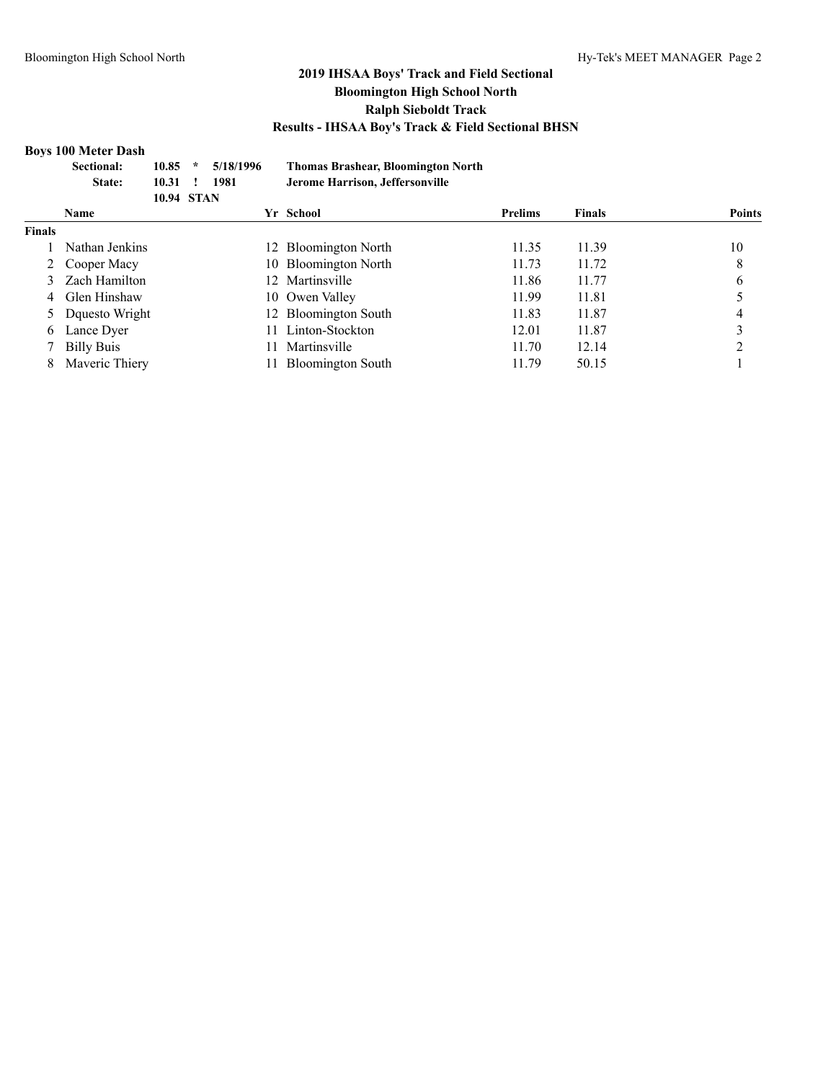#### **Boys 100 Meter Dash**

|               | <b>Sectional:</b><br>State: | 10.85<br>10.31<br><b>10.94 STAN</b> | $\star$ | 5/18/1996<br>1981 |     | <b>Thomas Brashear, Bloomington North</b><br>Jerome Harrison, Jeffersonville |                |               |               |
|---------------|-----------------------------|-------------------------------------|---------|-------------------|-----|------------------------------------------------------------------------------|----------------|---------------|---------------|
|               | <b>Name</b>                 |                                     |         |                   |     | Yr School                                                                    | <b>Prelims</b> | <b>Finals</b> | <b>Points</b> |
| <b>Finals</b> |                             |                                     |         |                   |     |                                                                              |                |               |               |
|               | Nathan Jenkins              |                                     |         |                   |     | 12 Bloomington North                                                         | 11.35          | 11.39         | 10            |
|               | 2 Cooper Macy               |                                     |         |                   |     | 10 Bloomington North                                                         | 11.73          | 11.72         | 8             |
|               | Zach Hamilton               |                                     |         |                   |     | 12 Martinsville                                                              | 11.86          | 11.77         | 6             |
| 4             | Glen Hinshaw                |                                     |         |                   |     | 10 Owen Valley                                                               | 11.99          | 11.81         |               |
|               | 5 Dquesto Wright            |                                     |         |                   |     | 12 Bloomington South                                                         | 11.83          | 11.87         | 4             |
| 6             | Lance Dyer                  |                                     |         |                   |     | 11 Linton-Stockton                                                           | 12.01          | 11.87         |               |
|               | <b>Billy Buis</b>           |                                     |         |                   | 11. | Martinsville                                                                 | 11.70          | 12.14         |               |
| 8             | Maveric Thiery              |                                     |         |                   |     | <b>Bloomington South</b>                                                     | 11.79          | 50.15         |               |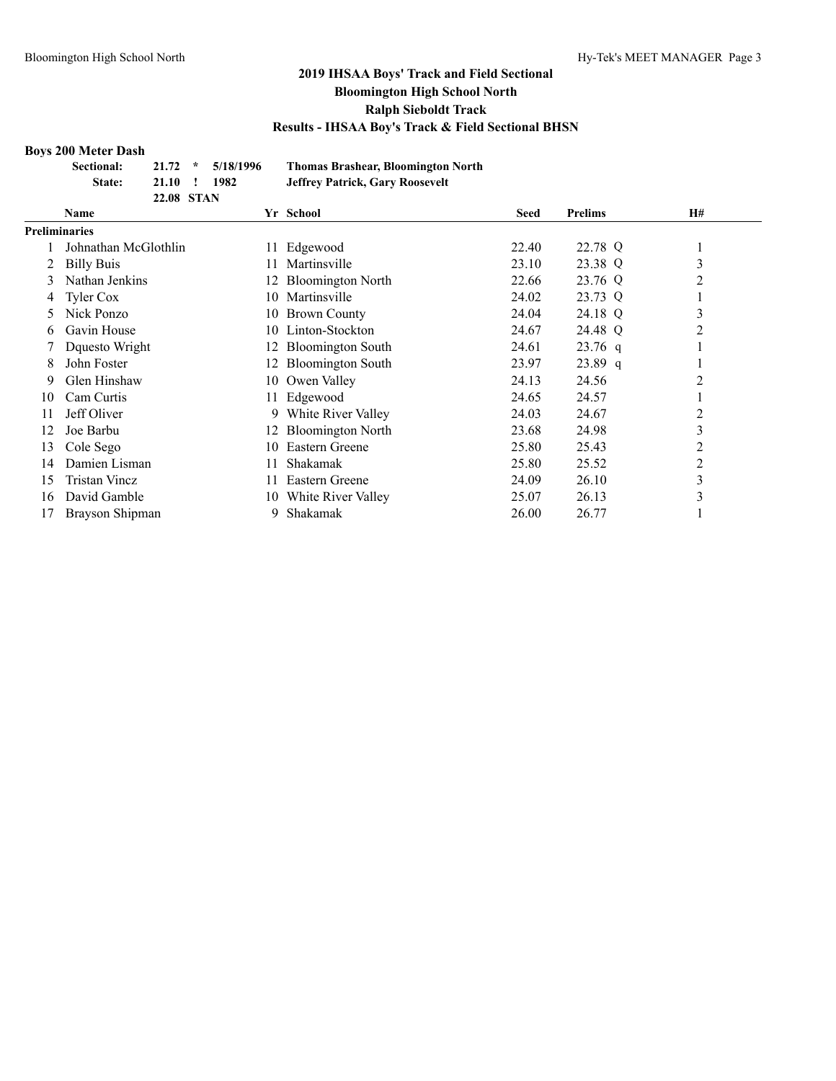#### **Boys 200 Meter Dash**

| Sectional: |              | $21.72 \div 5/18/1996$ | <b>Thomas Brashear, Bloomington North</b> |
|------------|--------------|------------------------|-------------------------------------------|
| State:     | 21.10 ! 1982 |                        | <b>Jeffrey Patrick, Gary Roosevelt</b>    |
|            | 22.08 STAN   |                        |                                           |

|               | <b>Name</b>          |     | Yr School                | <b>Seed</b> | <b>Prelims</b> | <b>H#</b>      |
|---------------|----------------------|-----|--------------------------|-------------|----------------|----------------|
| Preliminaries |                      |     |                          |             |                |                |
|               | Johnathan McGlothlin |     | Edgewood                 | 22.40       | 22.78 Q        |                |
|               | <b>Billy Buis</b>    |     | Martinsville             | 23.10       | 23.38 Q        | 3              |
| 3             | Nathan Jenkins       |     | <b>Bloomington North</b> | 22.66       | 23.76 Q        | 2              |
| 4             | Tyler Cox            | 10. | Martinsville             | 24.02       | 23.73 Q        |                |
| 5             | Nick Ponzo           | 10- | <b>Brown County</b>      | 24.04       | 24.18 Q        | 3              |
| 6             | Gavin House          | 10. | Linton-Stockton          | 24.67       | 24.48 Q        | 2              |
|               | Dquesto Wright       | 12. | <b>Bloomington South</b> | 24.61       | $23.76$ q      |                |
| 8             | John Foster          | 12. | <b>Bloomington South</b> | 23.97       | $23.89$ q      |                |
| 9             | Glen Hinshaw         | 10  | Owen Valley              | 24.13       | 24.56          | 2              |
| 10            | Cam Curtis           | 11- | Edgewood                 | 24.65       | 24.57          |                |
|               | Jeff Oliver          | 9.  | White River Valley       | 24.03       | 24.67          | $\overline{c}$ |
| 12            | Joe Barbu            | 12. | <b>Bloomington North</b> | 23.68       | 24.98          | 3              |
| 13            | Cole Sego            | 10  | Eastern Greene           | 25.80       | 25.43          | 2              |
| 14            | Damien Lisman        |     | Shakamak                 | 25.80       | 25.52          | $\overline{c}$ |
| 15            | Tristan Vincz        |     | Eastern Greene           | 24.09       | 26.10          | 3              |
| 16            | David Gamble         | 10  | White River Valley       | 25.07       | 26.13          | 3              |
| 17            | Brayson Shipman      | 9.  | Shakamak                 | 26.00       | 26.77          |                |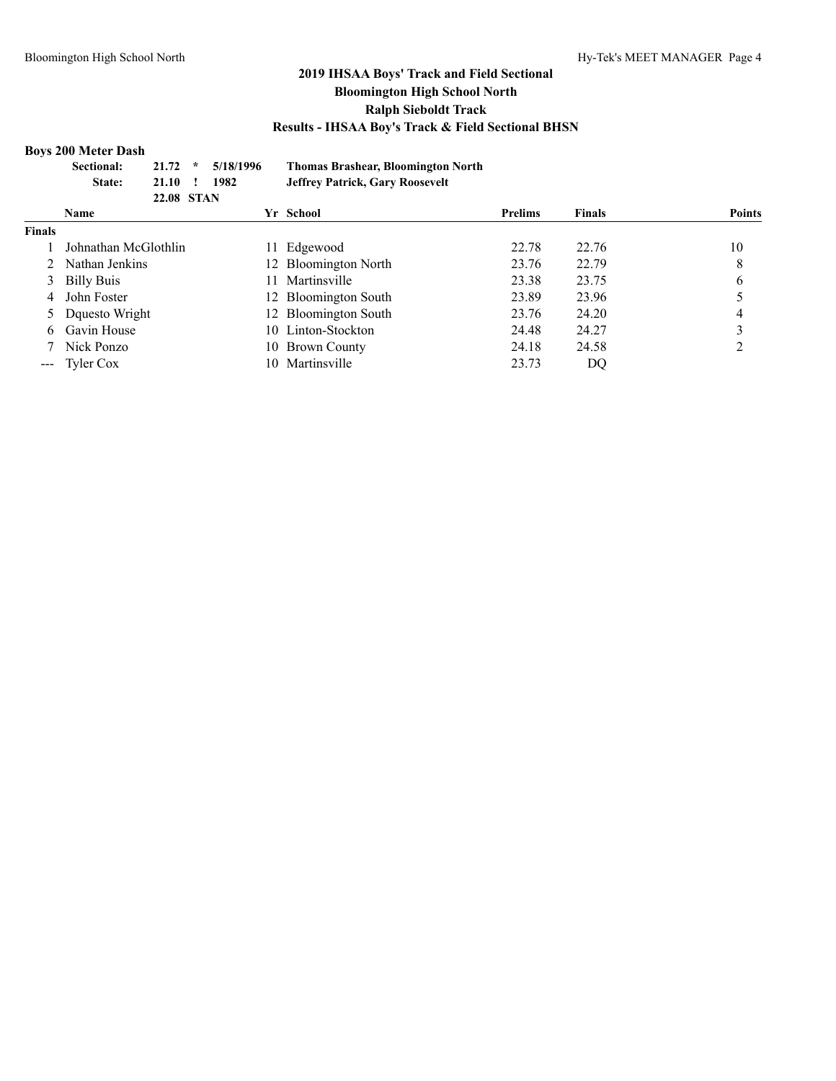#### **Boys 200 Meter Dash**

|                                                                                                                                                                                                                                                                                                                                                                                              | Sectional:<br>State: | 21.72<br>21.10<br>22.08 STAN | $\star$ | 5/18/1996<br>1982 |     | <b>Thomas Brashear, Bloomington North</b><br><b>Jeffrey Patrick, Gary Roosevelt</b> |                |               |               |
|----------------------------------------------------------------------------------------------------------------------------------------------------------------------------------------------------------------------------------------------------------------------------------------------------------------------------------------------------------------------------------------------|----------------------|------------------------------|---------|-------------------|-----|-------------------------------------------------------------------------------------|----------------|---------------|---------------|
|                                                                                                                                                                                                                                                                                                                                                                                              | <b>Name</b>          |                              |         |                   |     | Yr School                                                                           | <b>Prelims</b> | <b>Finals</b> | <b>Points</b> |
| <b>Finals</b>                                                                                                                                                                                                                                                                                                                                                                                |                      |                              |         |                   |     |                                                                                     |                |               |               |
|                                                                                                                                                                                                                                                                                                                                                                                              | Johnathan McGlothlin |                              |         |                   | 11  | Edgewood                                                                            | 22.78          | 22.76         | 10            |
|                                                                                                                                                                                                                                                                                                                                                                                              | Nathan Jenkins       |                              |         |                   |     | 12 Bloomington North                                                                | 23.76          | 22.79         | 8             |
| 3                                                                                                                                                                                                                                                                                                                                                                                            | <b>Billy Buis</b>    |                              |         |                   | 11. | Martinsville                                                                        | 23.38          | 23.75         | 6             |
| 4                                                                                                                                                                                                                                                                                                                                                                                            | John Foster          |                              |         |                   |     | 12 Bloomington South                                                                | 23.89          | 23.96         |               |
|                                                                                                                                                                                                                                                                                                                                                                                              | Dquesto Wright       |                              |         |                   |     | 12 Bloomington South                                                                | 23.76          | 24.20         | 4             |
| 6                                                                                                                                                                                                                                                                                                                                                                                            | Gavin House          |                              |         |                   |     | 10 Linton-Stockton                                                                  | 24.48          | 24.27         |               |
|                                                                                                                                                                                                                                                                                                                                                                                              | Nick Ponzo           |                              |         |                   | 10. | <b>Brown County</b>                                                                 | 24.18          | 24.58         |               |
| $\frac{1}{2} \frac{1}{2} \frac{1}{2} \frac{1}{2} \frac{1}{2} \frac{1}{2} \frac{1}{2} \frac{1}{2} \frac{1}{2} \frac{1}{2} \frac{1}{2} \frac{1}{2} \frac{1}{2} \frac{1}{2} \frac{1}{2} \frac{1}{2} \frac{1}{2} \frac{1}{2} \frac{1}{2} \frac{1}{2} \frac{1}{2} \frac{1}{2} \frac{1}{2} \frac{1}{2} \frac{1}{2} \frac{1}{2} \frac{1}{2} \frac{1}{2} \frac{1}{2} \frac{1}{2} \frac{1}{2} \frac{$ | Tyler Cox            |                              |         |                   | 10. | Martinsville                                                                        | 23.73          | DQ            |               |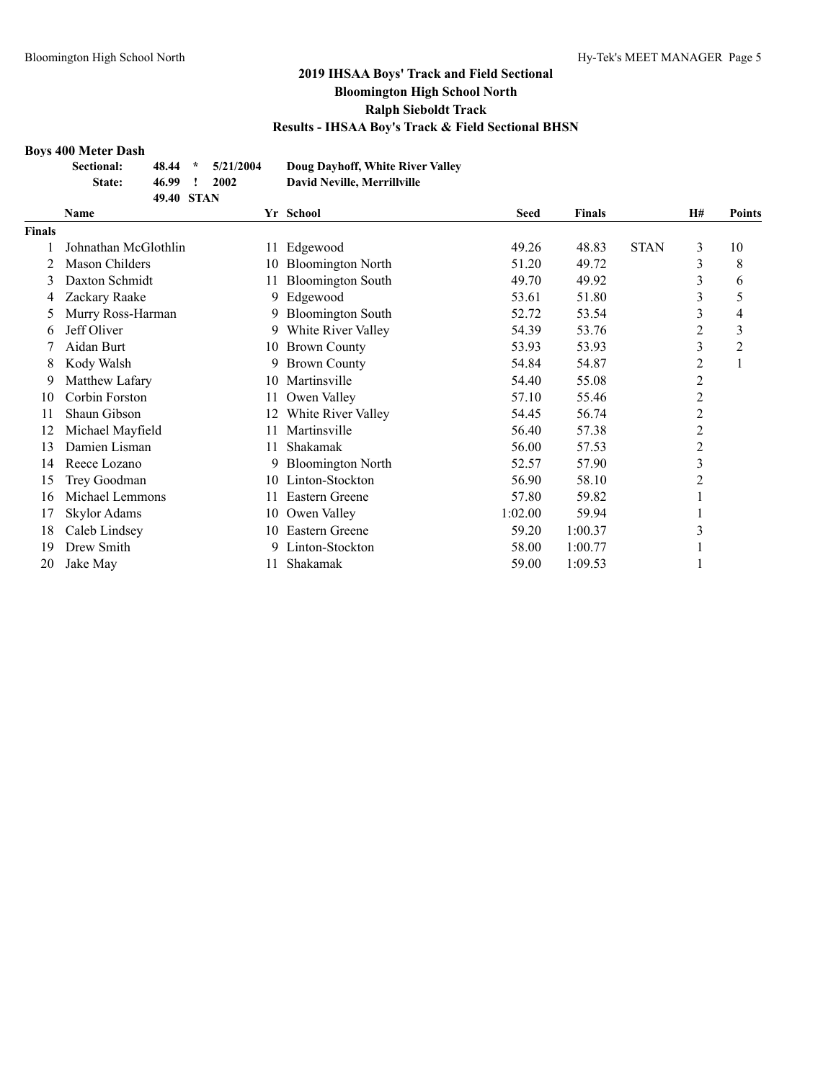#### **Boys 400 Meter Dash**

| Sectional: |            | $48.44 * 5/21/2004$ | Doug Dayhoff, White River Valley |
|------------|------------|---------------------|----------------------------------|
| State:     | 46.99      | 2002                | David Neville, Merrillville      |
|            | 49.40 STAN |                     |                                  |

|               | Name                 |     | Yr School                | <b>Seed</b> | <b>Finals</b> |             | <b>H#</b>      | <b>Points</b> |
|---------------|----------------------|-----|--------------------------|-------------|---------------|-------------|----------------|---------------|
| <b>Finals</b> |                      |     |                          |             |               |             |                |               |
|               | Johnathan McGlothlin | 11  | Edgewood                 | 49.26       | 48.83         | <b>STAN</b> | 3              | 10            |
|               | Mason Childers       | 10  | <b>Bloomington North</b> | 51.20       | 49.72         |             | 3              | 8             |
| 3             | Daxton Schmidt       |     | <b>Bloomington South</b> | 49.70       | 49.92         |             | 3              | 6             |
| 4             | Zackary Raake        | 9   | Edgewood                 | 53.61       | 51.80         |             | 3              | 5             |
|               | Murry Ross-Harman    | 9   | <b>Bloomington South</b> | 52.72       | 53.54         |             | 3              | 4             |
| 6             | Jeff Oliver          | 9   | White River Valley       | 54.39       | 53.76         |             | 2              | 3             |
|               | Aidan Burt           | 10  | <b>Brown County</b>      | 53.93       | 53.93         |             | 3              | 2             |
| 8             | Kody Walsh           | 9.  | <b>Brown County</b>      | 54.84       | 54.87         |             | 2              |               |
| 9             | Matthew Lafary       | 10  | Martinsville             | 54.40       | 55.08         |             | $\overline{c}$ |               |
| 10            | Corbin Forston       | 11  | Owen Valley              | 57.10       | 55.46         |             | $\overline{c}$ |               |
| 11            | Shaun Gibson         | 12  | White River Valley       | 54.45       | 56.74         |             | 2              |               |
| 12            | Michael Mayfield     |     | Martinsville             | 56.40       | 57.38         |             | $\overline{c}$ |               |
| 13            | Damien Lisman        | 11. | Shakamak                 | 56.00       | 57.53         |             | 2              |               |
| 14            | Reece Lozano         | 9   | <b>Bloomington North</b> | 52.57       | 57.90         |             | 3              |               |
| 15            | Trey Goodman         | 10  | Linton-Stockton          | 56.90       | 58.10         |             | 2              |               |
| 16            | Michael Lemmons      | 11  | Eastern Greene           | 57.80       | 59.82         |             |                |               |
| 17            | Skylor Adams         | 10  | Owen Valley              | 1:02.00     | 59.94         |             |                |               |
| 18            | Caleb Lindsey        | 10  | Eastern Greene           | 59.20       | 1:00.37       |             | 3              |               |
| 19            | Drew Smith           |     | Linton-Stockton          | 58.00       | 1:00.77       |             |                |               |
| 20            | Jake May             |     | Shakamak                 | 59.00       | 1:09.53       |             |                |               |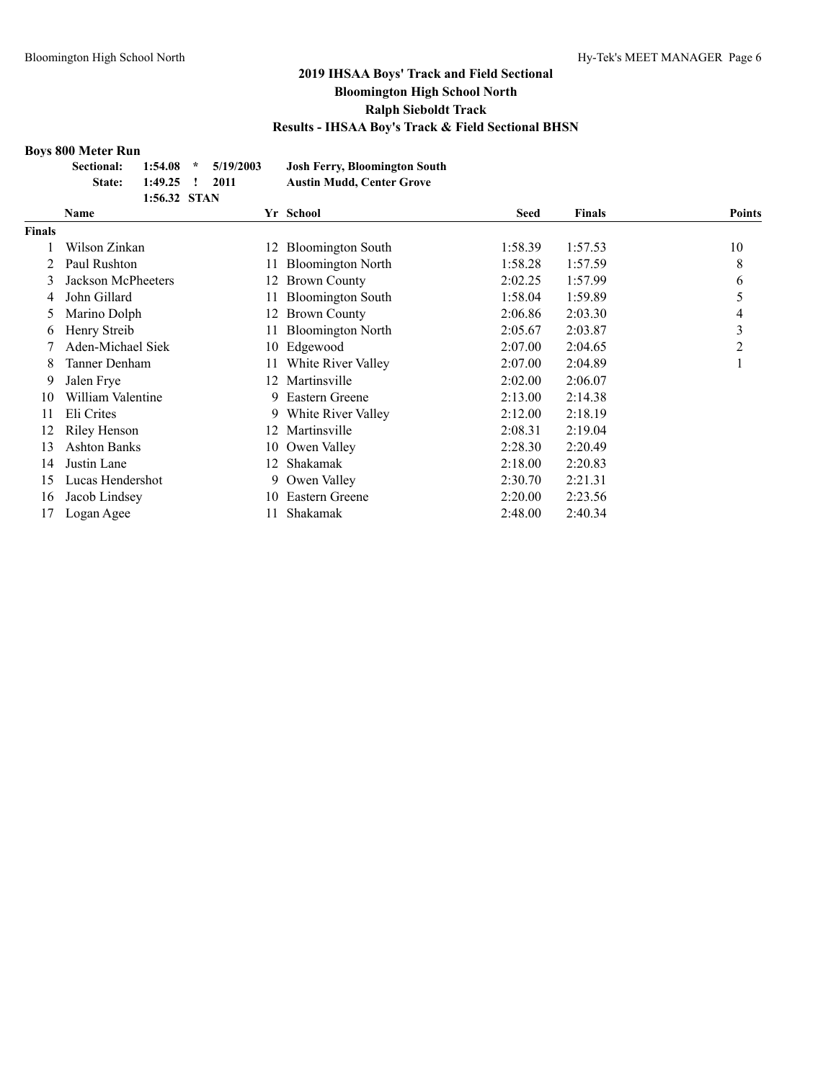#### **Boys 800 Meter Run**

| <b>Sectional:</b> |                | $1:54.08$ * $5/19/2003$ | <b>Josh Ferry, Bloomington South</b> |
|-------------------|----------------|-------------------------|--------------------------------------|
| State:            | 1:49.25 ! 2011 |                         | <b>Austin Mudd, Center Grove</b>     |
|                   | 1:56.32 STAN   |                         |                                      |

|               | Name                |     | Yr School                | <b>Seed</b> | <b>Finals</b> | <b>Points</b> |
|---------------|---------------------|-----|--------------------------|-------------|---------------|---------------|
| <b>Finals</b> |                     |     |                          |             |               |               |
|               | Wilson Zinkan       | 12  | <b>Bloomington South</b> | 1:58.39     | 1:57.53       | 10            |
|               | Paul Rushton        | 11  | <b>Bloomington North</b> | 1:58.28     | 1:57.59       | 8             |
| 3             | Jackson McPheeters  | 12  | <b>Brown County</b>      | 2:02.25     | 1:57.99       | 6             |
| 4             | John Gillard        | 11  | <b>Bloomington South</b> | 1:58.04     | 1:59.89       |               |
|               | Marino Dolph        | 12. | <b>Brown County</b>      | 2:06.86     | 2:03.30       | 4             |
| <sub>0</sub>  | Henry Streib        | 11  | <b>Bloomington North</b> | 2:05.67     | 2:03.87       | 3             |
|               | Aden-Michael Siek   | 10  | Edgewood                 | 2:07.00     | 2:04.65       | 2             |
| 8             | Tanner Denham       | 11  | White River Valley       | 2:07.00     | 2:04.89       | 1             |
| 9             | Jalen Frye          | 12. | Martinsville             | 2:02.00     | 2:06.07       |               |
| 10            | William Valentine   | 9.  | Eastern Greene           | 2:13.00     | 2:14.38       |               |
| 11            | Eli Crites          |     | 9 White River Valley     | 2:12.00     | 2:18.19       |               |
| 12            | Riley Henson        | 12. | Martinsville             | 2:08.31     | 2:19.04       |               |
| 13            | <b>Ashton Banks</b> |     | 10 Owen Valley           | 2:28.30     | 2:20.49       |               |
| 14            | Justin Lane         | 12. | Shakamak                 | 2:18.00     | 2:20.83       |               |
| 15            | Lucas Hendershot    | 9.  | Owen Valley              | 2:30.70     | 2:21.31       |               |
| 16            | Jacob Lindsey       | 10. | Eastern Greene           | 2:20.00     | 2:23.56       |               |
| 17            | Logan Agee          |     | Shakamak                 | 2:48.00     | 2:40.34       |               |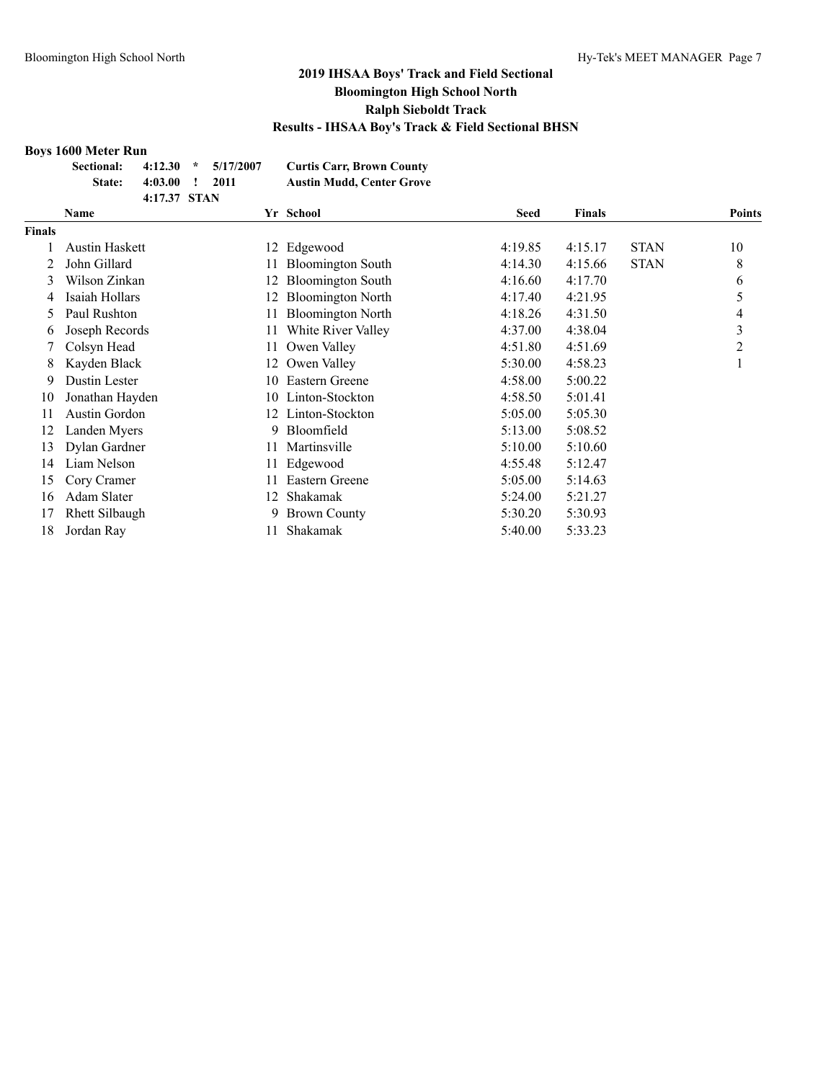#### **Boys 1600 Meter Run**

| 000111001111                   |                |  |                                  |
|--------------------------------|----------------|--|----------------------------------|
| Sectional: 4:12.30 * 5/17/2007 |                |  | <b>Curtis Carr, Brown County</b> |
| State:                         | 4:03.00 ! 2011 |  | <b>Austin Mudd, Center Grove</b> |
|                                | 4:17.37 STAN   |  |                                  |

|               | Name                  |     | Yr School                | <b>Seed</b> | <b>Finals</b> |             | <b>Points</b> |
|---------------|-----------------------|-----|--------------------------|-------------|---------------|-------------|---------------|
| <b>Finals</b> |                       |     |                          |             |               |             |               |
|               | Austin Haskett        |     | 12 Edgewood              | 4:19.85     | 4:15.17       | <b>STAN</b> | 10            |
|               | John Gillard          |     | <b>Bloomington South</b> | 4:14.30     | 4:15.66       | <b>STAN</b> | 8             |
| 3             | Wilson Zinkan         |     | <b>Bloomington South</b> | 4:16.60     | 4:17.70       |             | 6             |
| 4             | Isaiah Hollars        | 12  | <b>Bloomington North</b> | 4:17.40     | 4:21.95       |             | 5             |
| 5.            | Paul Rushton          | 11  | <b>Bloomington North</b> | 4:18.26     | 4:31.50       |             | 4             |
| 6             | Joseph Records        |     | White River Valley       | 4:37.00     | 4:38.04       |             | 3             |
|               | Colsyn Head           | 11  | Owen Valley              | 4:51.80     | 4:51.69       |             | 2             |
| 8             | Kayden Black          | 12  | Owen Valley              | 5:30.00     | 4:58.23       |             |               |
| 9             | Dustin Lester         | 10- | Eastern Greene           | 4:58.00     | 5:00.22       |             |               |
| 10            | Jonathan Hayden       | 10. | Linton-Stockton          | 4:58.50     | 5:01.41       |             |               |
| 11            | Austin Gordon         | 12. | Linton-Stockton          | 5:05.00     | 5:05.30       |             |               |
| 12            | Landen Myers          | 9   | Bloomfield               | 5:13.00     | 5:08.52       |             |               |
| 13            | Dylan Gardner         | 11  | Martinsville             | 5:10.00     | 5:10.60       |             |               |
| 14            | Liam Nelson           |     | Edgewood                 | 4:55.48     | 5:12.47       |             |               |
| 15            | Cory Cramer           | 11. | <b>Eastern Greene</b>    | 5:05.00     | 5:14.63       |             |               |
| 16            | Adam Slater           | 12  | Shakamak                 | 5:24.00     | 5:21.27       |             |               |
| 17            | <b>Rhett Silbaugh</b> | 9   | <b>Brown County</b>      | 5:30.20     | 5:30.93       |             |               |
| 18            | Jordan Ray            |     | Shakamak                 | 5:40.00     | 5:33.23       |             |               |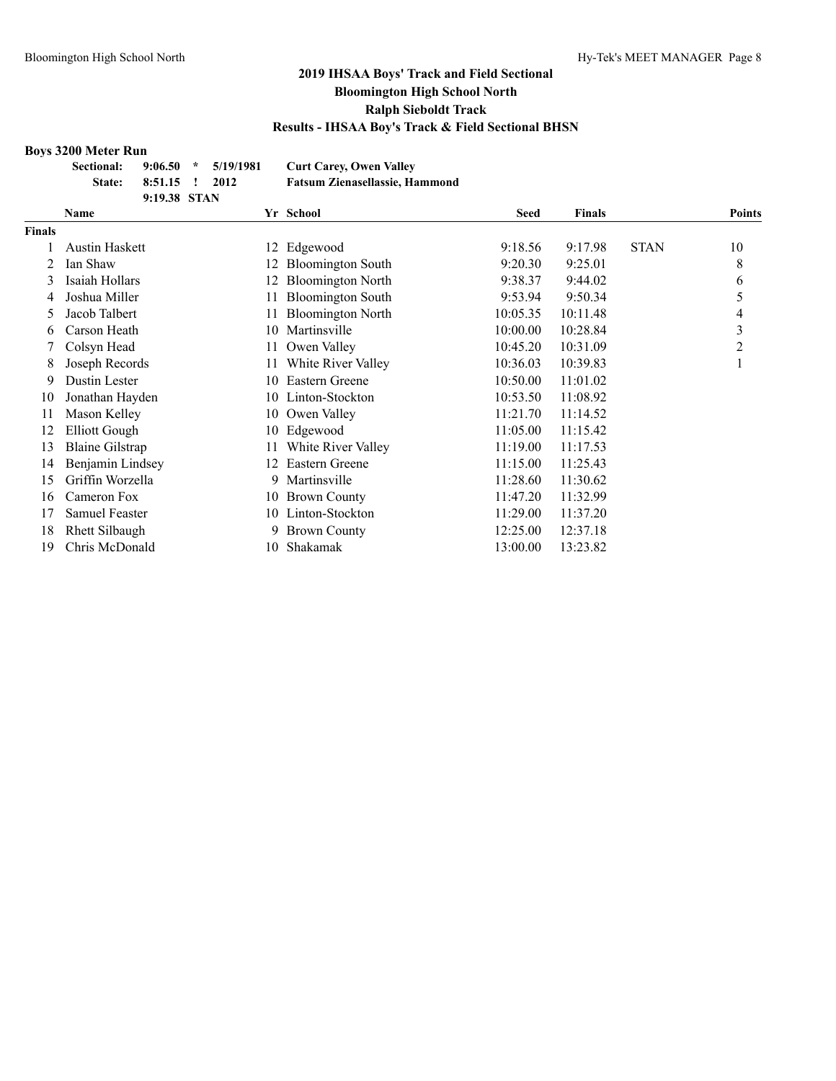#### **Boys 3200 Meter Run**

**Sectional: 9:06.50 \* 5/19/1981 Curt Carey, Owen Valley State: 8:51.15 ! 2012 Fatsum Zienasellassie, Hammond**

|               | 9:19.38 STAN           |    |                          |             |               |             |               |
|---------------|------------------------|----|--------------------------|-------------|---------------|-------------|---------------|
|               | <b>Name</b>            |    | Yr School                | <b>Seed</b> | <b>Finals</b> |             | <b>Points</b> |
| <b>Finals</b> |                        |    |                          |             |               |             |               |
|               | Austin Haskett         | 12 | Edgewood                 | 9:18.56     | 9:17.98       | <b>STAN</b> | 10            |
| 2             | Ian Shaw               |    | <b>Bloomington South</b> | 9:20.30     | 9:25.01       |             | 8             |
| 3             | Isaiah Hollars         |    | <b>Bloomington North</b> | 9:38.37     | 9:44.02       |             | 6             |
| 4             | Joshua Miller          | 11 | <b>Bloomington South</b> | 9:53.94     | 9:50.34       |             | 5             |
| 5             | Jacob Talbert          | 11 | <b>Bloomington North</b> | 10:05.35    | 10:11.48      |             | 4             |
| 6             | Carson Heath           | 10 | Martinsville             | 10:00.00    | 10:28.84      |             | 3             |
|               | Colsyn Head            | 11 | Owen Valley              | 10:45.20    | 10:31.09      |             | 2             |
| 8             | Joseph Records         | 11 | White River Valley       | 10:36.03    | 10:39.83      |             |               |
| 9             | Dustin Lester          | 10 | Eastern Greene           | 10:50.00    | 11:01.02      |             |               |
| 10            | Jonathan Hayden        | 10 | Linton-Stockton          | 10:53.50    | 11:08.92      |             |               |
| 11            | Mason Kelley           | 10 | Owen Valley              | 11:21.70    | 11:14.52      |             |               |
| 12            | Elliott Gough          | 10 | Edgewood                 | 11:05.00    | 11:15.42      |             |               |
| 13            | <b>Blaine Gilstrap</b> | 11 | White River Valley       | 11:19.00    | 11:17.53      |             |               |
| 14            | Benjamin Lindsey       | 12 | Eastern Greene           | 11:15.00    | 11:25.43      |             |               |
| 15            | Griffin Worzella       | 9  | Martinsville             | 11:28.60    | 11:30.62      |             |               |
| 16            | Cameron Fox            | 10 | <b>Brown County</b>      | 11:47.20    | 11:32.99      |             |               |
| 17            | Samuel Feaster         | 10 | Linton-Stockton          | 11:29.00    | 11:37.20      |             |               |
| 18            | Rhett Silbaugh         | 9  | <b>Brown County</b>      | 12:25.00    | 12:37.18      |             |               |
| 19            | Chris McDonald         | 10 | Shakamak                 | 13:00.00    | 13:23.82      |             |               |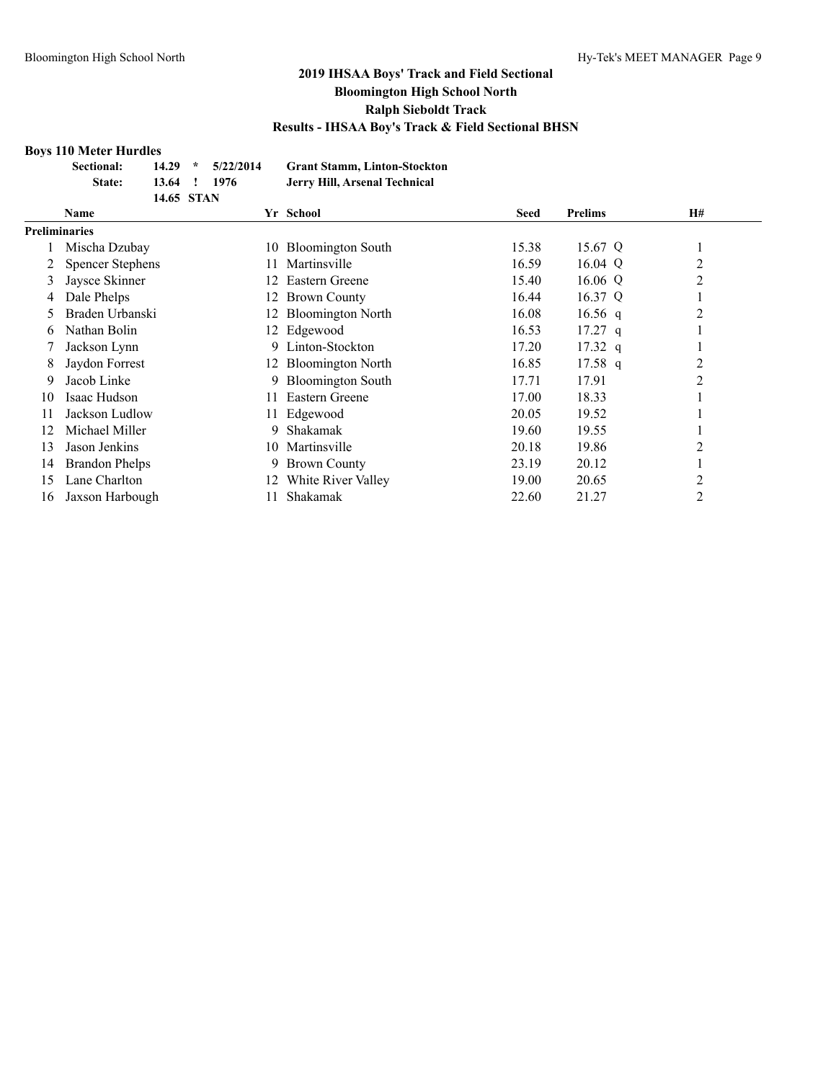#### **Boys 110 Meter Hurdles**

| Sectional: |              | $14.29 * 5/22/2014$ | <b>Grant Stamm, Linton-Stockton</b> |
|------------|--------------|---------------------|-------------------------------------|
| State:     | 13.64 ! 1976 |                     | Jerry Hill, Arsenal Technical       |
|            | 14.65 STAN   |                     |                                     |

|               | <b>Name</b>             |     | Yr School                | <b>Seed</b> | <b>Prelims</b> | <b>H#</b> |  |
|---------------|-------------------------|-----|--------------------------|-------------|----------------|-----------|--|
| Preliminaries |                         |     |                          |             |                |           |  |
|               | Mischa Dzubay           | 10  | <b>Bloomington South</b> | 15.38       | 15.67 Q        |           |  |
|               | <b>Spencer Stephens</b> | 11  | Martinsville             | 16.59       | 16.04 Q        | 2         |  |
| 3             | Jaysce Skinner          | 12  | Eastern Greene           | 15.40       | 16.06 Q        | 2         |  |
| 4             | Dale Phelps             | 12  | <b>Brown County</b>      | 16.44       | 16.37 Q        |           |  |
| 5             | Braden Urbanski         | 12. | <b>Bloomington North</b> | 16.08       | 16.56 q        | 2         |  |
| 6             | Nathan Bolin            |     | 12 Edgewood              | 16.53       | $17.27$ q      |           |  |
|               | Jackson Lynn            | 9.  | Linton-Stockton          | 17.20       | $17.32$ q      |           |  |
| 8             | Jaydon Forrest          |     | 12 Bloomington North     | 16.85       | $17.58$ q      | 2         |  |
| 9             | Jacob Linke             | 9   | <b>Bloomington South</b> | 17.71       | 17.91          | 2         |  |
| 10            | Isaac Hudson            | 11  | Eastern Greene           | 17.00       | 18.33          |           |  |
| 11            | Jackson Ludlow          |     | Edgewood                 | 20.05       | 19.52          |           |  |
| 12            | Michael Miller          | 9   | Shakamak                 | 19.60       | 19.55          |           |  |
| 13            | Jason Jenkins           | 10. | Martinsville             | 20.18       | 19.86          | 2         |  |
| 14            | <b>Brandon Phelps</b>   | 9   | <b>Brown County</b>      | 23.19       | 20.12          |           |  |
| 15            | Lane Charlton           | 12. | White River Valley       | 19.00       | 20.65          | 2         |  |
| 16            | Jaxson Harbough         |     | Shakamak                 | 22.60       | 21.27          | 2         |  |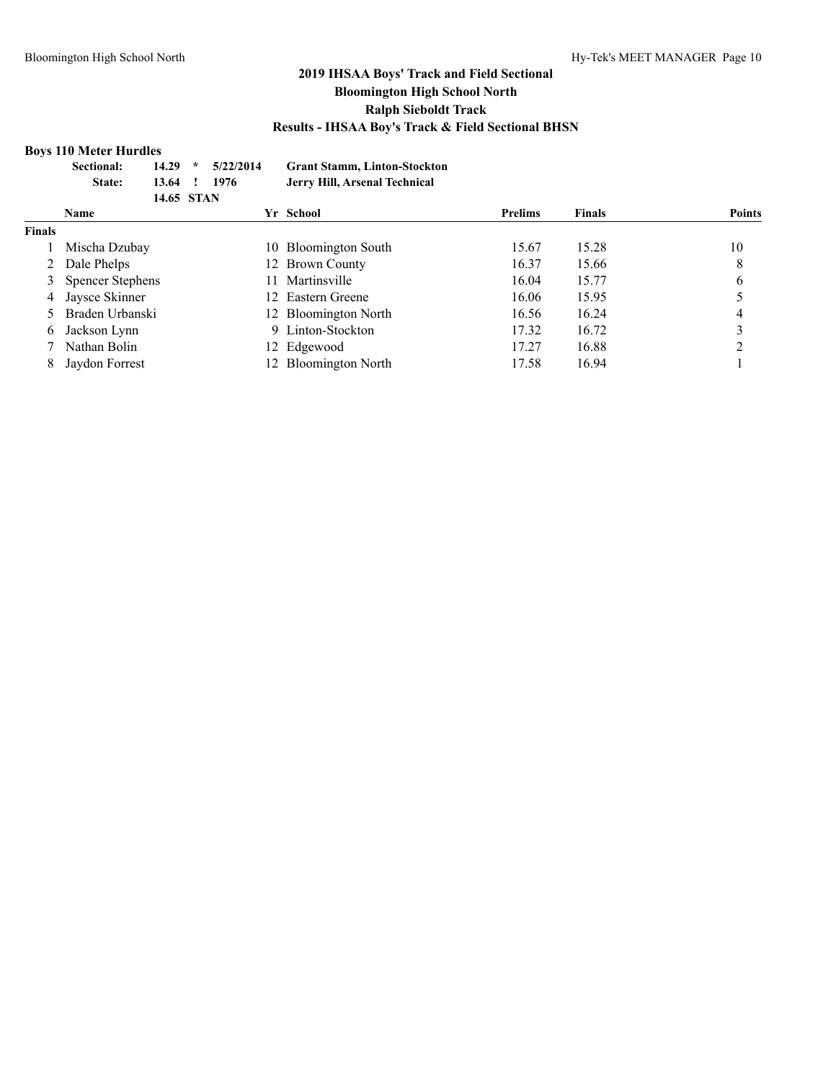#### **Boys 110 Meter Hurdles**

|               | Sectional:<br>State:    | 14.29<br>13.64<br>14.65 STAN | $\star$ | 5/22/2014<br>1976 |     | <b>Grant Stamm, Linton-Stockton</b><br>Jerry Hill, Arsenal Technical |                |               |               |
|---------------|-------------------------|------------------------------|---------|-------------------|-----|----------------------------------------------------------------------|----------------|---------------|---------------|
|               | <b>Name</b>             |                              |         |                   |     | Yr School                                                            | <b>Prelims</b> | <b>Finals</b> | <b>Points</b> |
| <b>Finals</b> |                         |                              |         |                   |     |                                                                      |                |               |               |
|               | Mischa Dzubay           |                              |         |                   | 10. | <b>Bloomington South</b>                                             | 15.67          | 15.28         | 10            |
|               | Dale Phelps             |                              |         |                   |     | 12 Brown County                                                      | 16.37          | 15.66         | 8             |
|               | <b>Spencer Stephens</b> |                              |         |                   | 11. | Martinsville                                                         | 16.04          | 15.77         | 6             |
| 4             | Jaysce Skinner          |                              |         |                   | 12. | Eastern Greene                                                       | 16.06          | 15.95         |               |
| 5.            | Braden Urbanski         |                              |         |                   |     | 12 Bloomington North                                                 | 16.56          | 16.24         | 4             |
| 6             | Jackson Lynn            |                              |         |                   |     | 9 Linton-Stockton                                                    | 17.32          | 16.72         | 3             |
|               | Nathan Bolin            |                              |         |                   |     | 12 Edgewood                                                          | 17.27          | 16.88         |               |
| 8             | Jaydon Forrest          |                              |         |                   |     | 12 Bloomington North                                                 | 17.58          | 16.94         |               |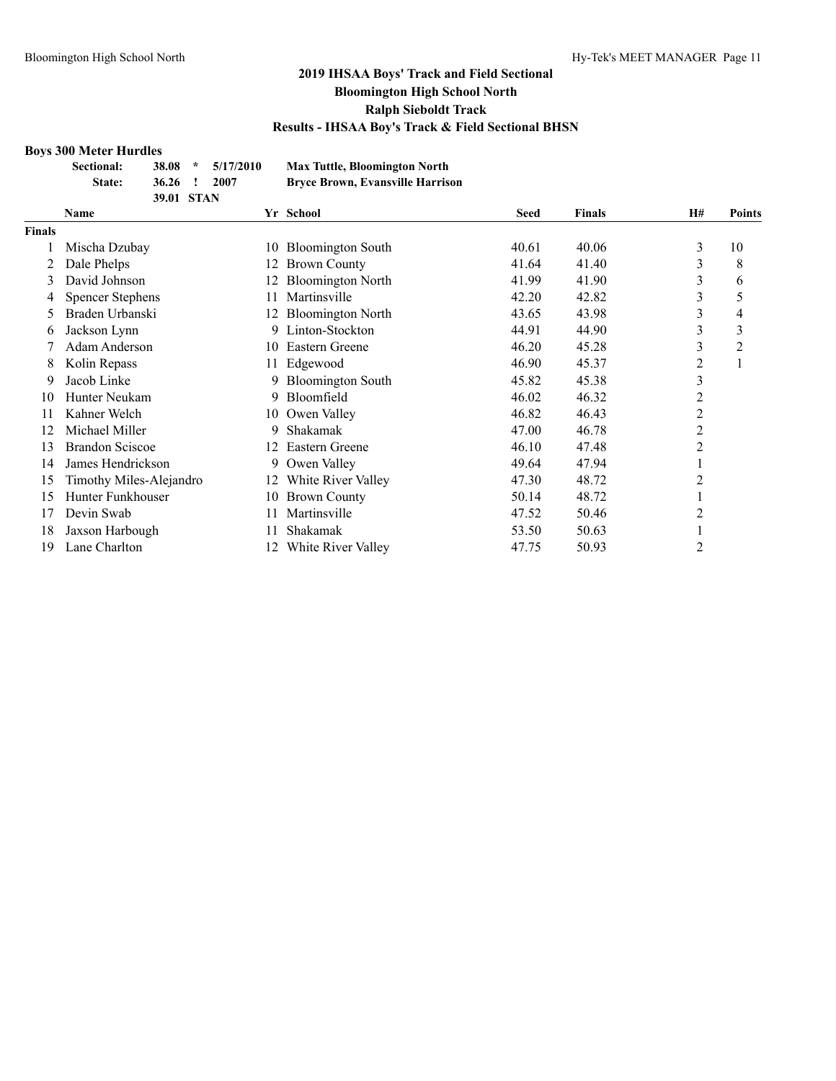#### **Boys 300 Meter Hurdles**

|        | DOVS JOU IMELEI TIUI UIES<br><b>Sectional:</b> | 38.08      | $\star$ | 5/17/2010 |    | <b>Max Tuttle, Bloomington North</b>    |             |               |                |                |
|--------|------------------------------------------------|------------|---------|-----------|----|-----------------------------------------|-------------|---------------|----------------|----------------|
|        | State:                                         | 36.26      |         | 2007      |    | <b>Bryce Brown, Evansville Harrison</b> |             |               |                |                |
|        |                                                | 39.01 STAN |         |           |    |                                         |             |               |                |                |
|        | Name                                           |            |         |           |    | Yr School                               | <b>Seed</b> | <b>Finals</b> | H#             | <b>Points</b>  |
| Finals |                                                |            |         |           |    |                                         |             |               |                |                |
|        | Mischa Dzubay                                  |            |         |           | 10 | <b>Bloomington South</b>                | 40.61       | 40.06         | 3              | 10             |
| 2      | Dale Phelps                                    |            |         |           |    | <b>Brown County</b>                     | 41.64       | 41.40         | 3              | 8              |
| 3      | David Johnson                                  |            |         |           | 12 | <b>Bloomington North</b>                | 41.99       | 41.90         | 3              | 6              |
| 4      | <b>Spencer Stephens</b>                        |            |         |           |    | Martinsville                            | 42.20       | 42.82         | 3              | 5              |
| 5      | Braden Urbanski                                |            |         |           | 12 | <b>Bloomington North</b>                | 43.65       | 43.98         | 3              | 4              |
| 6      | Jackson Lynn                                   |            |         |           | 9. | Linton-Stockton                         | 44.91       | 44.90         | 3              | 3              |
|        | Adam Anderson                                  |            |         |           | 10 | Eastern Greene                          | 46.20       | 45.28         | 3              | $\overline{c}$ |
| 8      | Kolin Repass                                   |            |         |           | 11 | Edgewood                                | 46.90       | 45.37         | $\overline{c}$ |                |
| 9      | Jacob Linke                                    |            |         |           |    | <b>Bloomington South</b>                | 45.82       | 45.38         | 3              |                |
| 10     | Hunter Neukam                                  |            |         |           | 9. | Bloomfield                              | 46.02       | 46.32         | $\overline{c}$ |                |
| 11     | Kahner Welch                                   |            |         |           | 10 | Owen Valley                             | 46.82       | 46.43         | 2              |                |
| 12     | Michael Miller                                 |            |         |           | 9  | Shakamak                                | 47.00       | 46.78         | $\overline{c}$ |                |
| 13     | <b>Brandon Sciscoe</b>                         |            |         |           | 12 | Eastern Greene                          | 46.10       | 47.48         | $\overline{2}$ |                |
| 14     | James Hendrickson                              |            |         |           | 9. | Owen Valley                             | 49.64       | 47.94         |                |                |
| 15     | Timothy Miles-Alejandro                        |            |         |           | 12 | White River Valley                      | 47.30       | 48.72         | $\overline{c}$ |                |
| 15     | Hunter Funkhouser                              |            |         |           | 10 | <b>Brown County</b>                     | 50.14       | 48.72         |                |                |
| 17     | Devin Swab                                     |            |         |           | 11 | Martinsville                            | 47.52       | 50.46         | 2              |                |
| 18     | Jaxson Harbough                                |            |         |           |    | Shakamak                                | 53.50       | 50.63         | 1              |                |
| 19     | Lane Charlton                                  |            |         |           | 12 | White River Valley                      | 47.75       | 50.93         | 2              |                |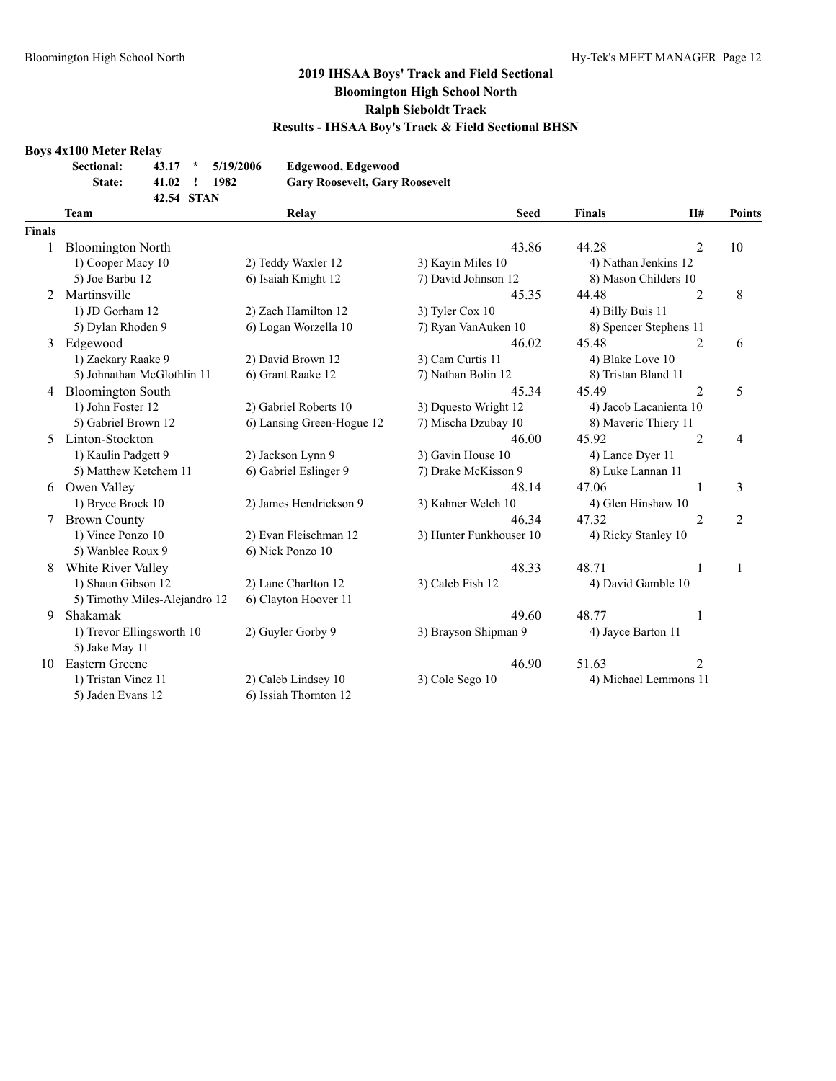#### **Boys 4x100 Meter Relay**

| <b>Sectional:</b> |            | $43.17 * 5/19/2006$ | Edgewood, Edgewood                    |
|-------------------|------------|---------------------|---------------------------------------|
| State:            | 41.02 !    | 1982                | <b>Gary Roosevelt, Gary Roosevelt</b> |
|                   | 42.54 STAN |                     |                                       |

|                | <b>Team</b>                                    | Relay                     | <b>Seed</b>                                | <b>Finals</b>          | H#             | Points         |
|----------------|------------------------------------------------|---------------------------|--------------------------------------------|------------------------|----------------|----------------|
| <b>Finals</b>  |                                                |                           |                                            |                        |                |                |
|                | <b>Bloomington North</b>                       |                           | 43.86                                      | 44.28                  | $\overline{2}$ | 10             |
|                | 1) Cooper Macy 10                              | 2) Teddy Waxler 12        | 3) Kayin Miles 10<br>4) Nathan Jenkins 12  |                        |                |                |
|                | 5) Joe Barbu 12                                | 6) Isaiah Knight 12       | 7) David Johnson 12                        | 8) Mason Childers 10   |                |                |
| $\mathfrak{D}$ | Martinsville                                   |                           | 45.35                                      | 44.48                  | $\overline{2}$ | 8              |
|                | 1) JD Gorham 12                                | 2) Zach Hamilton 12       | 3) Tyler Cox 10                            | 4) Billy Buis 11       |                |                |
|                | 5) Dylan Rhoden 9                              | 6) Logan Worzella 10      | 7) Ryan VanAuken 10                        | 8) Spencer Stephens 11 |                |                |
| 3              | Edgewood                                       |                           | 46.02                                      | 45.48                  | 2              | 6              |
|                | 1) Zackary Raake 9                             | 2) David Brown 12         | 3) Cam Curtis 11                           | 4) Blake Love 10       |                |                |
|                | 5) Johnathan McGlothlin 11                     | 6) Grant Raake 12         | 7) Nathan Bolin 12                         | 8) Tristan Bland 11    |                |                |
| 4              | <b>Bloomington South</b>                       |                           | 45.34                                      | 45.49                  | $\overline{2}$ | 5              |
|                | 1) John Foster 12                              | 2) Gabriel Roberts 10     | 3) Dquesto Wright 12                       | 4) Jacob Lacanienta 10 |                |                |
|                | 5) Gabriel Brown 12                            | 6) Lansing Green-Hogue 12 | 7) Mischa Dzubay 10                        | 8) Maveric Thiery 11   |                |                |
| 5              | Linton-Stockton                                |                           | 46.00                                      | 45.92                  | $\overline{2}$ | 4              |
|                | 1) Kaulin Padgett 9                            | 2) Jackson Lynn 9         | 3) Gavin House 10                          | 4) Lance Dyer 11       |                |                |
|                | 5) Matthew Ketchem 11                          | 6) Gabriel Eslinger 9     | 7) Drake McKisson 9                        | 8) Luke Lannan 11      |                |                |
| 6              | Owen Valley                                    |                           | 48.14                                      | 47.06                  | 1              | 3              |
|                | 1) Bryce Brock 10                              | 2) James Hendrickson 9    | 3) Kahner Welch 10                         | 4) Glen Hinshaw 10     |                |                |
| 7              | <b>Brown County</b>                            |                           | 46.34                                      | 47.32                  | $\mathfrak{D}$ | $\overline{2}$ |
|                | 1) Vince Ponzo 10                              | 2) Evan Fleischman 12     | 3) Hunter Funkhouser 10                    | 4) Ricky Stanley 10    |                |                |
|                | 5) Wanblee Roux 9                              | 6) Nick Ponzo 10          |                                            |                        |                |                |
| 8              | White River Valley                             |                           | 48.33                                      | 48.71                  | $\mathbf{1}$   | 1              |
|                | 1) Shaun Gibson 12                             | 2) Lane Charlton 12       | 3) Caleb Fish 12                           | 4) David Gamble 10     |                |                |
|                | 5) Timothy Miles-Alejandro 12                  | 6) Clayton Hoover 11      |                                            |                        |                |                |
| 9              | Shakamak                                       |                           | 49.60                                      | 48.77                  | 1              |                |
|                | 1) Trevor Ellingsworth 10<br>2) Guyler Gorby 9 |                           | 3) Brayson Shipman 9<br>4) Jayce Barton 11 |                        |                |                |
|                | 5) Jake May 11                                 |                           |                                            |                        |                |                |
| 10             | Eastern Greene                                 |                           | 46.90                                      | 51.63                  | 2              |                |
|                | 1) Tristan Vincz 11                            | 2) Caleb Lindsey 10       | 3) Cole Sego 10                            | 4) Michael Lemmons 11  |                |                |
|                | 5) Jaden Evans 12                              | 6) Issiah Thornton 12     |                                            |                        |                |                |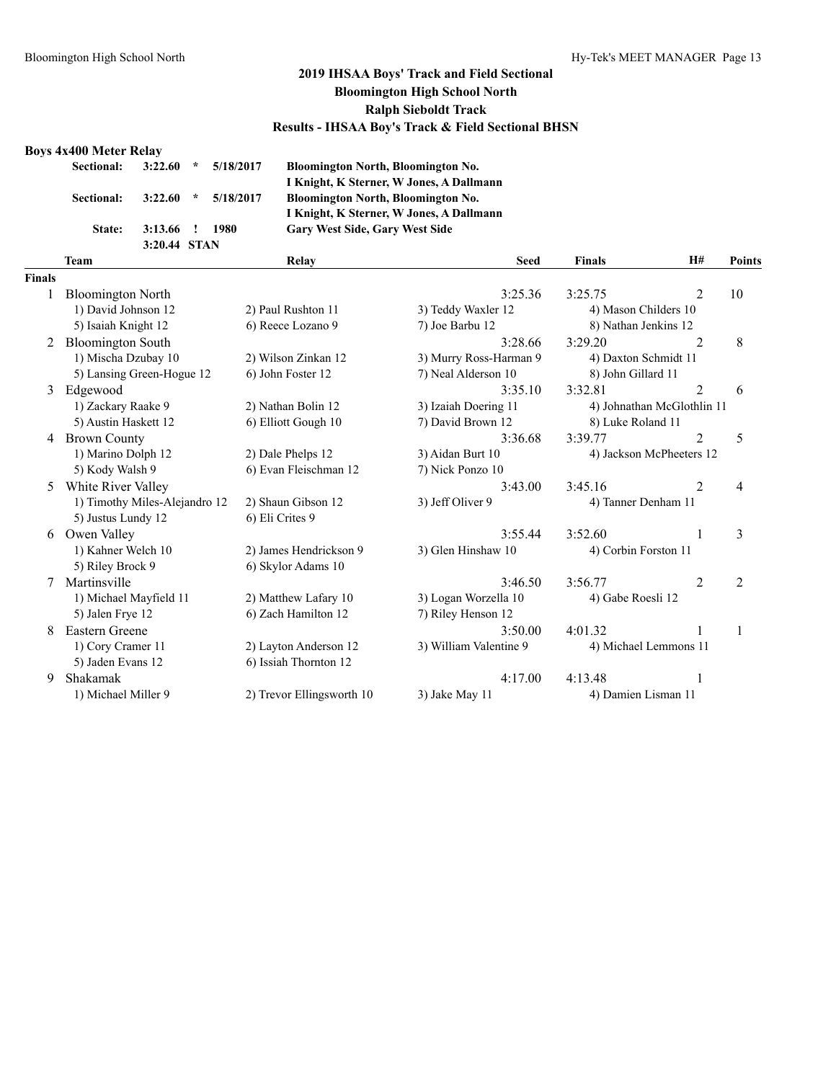#### **Boys 4x400 Meter Relay**

| Sectional: 3:22.60 * 5/18/2017 |                |               |           |
|--------------------------------|----------------|---------------|-----------|
| Sectional: 3:22.60             |                | $\mathcal{R}$ | 5/18/2017 |
| $\sim$ $\sim$                  | $2.12\times 1$ |               | 1000      |

**3:20.44 STAN**

**Sectional: 3:22.60 \* 5/18/2017 Bloomington North, Bloomington No. I Knight, K Sterner, W Jones, A Dallmann Sectional: 3:22.60 \* 5/18/2017 Bloomington North, Bloomington No. I Knight, K Sterner, W Jones, A Dallmann State: 3:13.66 ! 1980 Gary West Side, Gary West Side**

#### **Finals**

|      | <b>Team</b>                   | Relay                     | <b>Seed</b>            | <b>Finals</b>              | H#             | Points         |
|------|-------------------------------|---------------------------|------------------------|----------------------------|----------------|----------------|
| nals |                               |                           |                        |                            |                |                |
| 1    | <b>Bloomington North</b>      |                           | 3:25.36                | 3:25.75                    | 2              | 10             |
|      | 1) David Johnson 12           | 2) Paul Rushton 11        | 3) Teddy Waxler 12     | 4) Mason Childers 10       |                |                |
|      | 5) Isaiah Knight 12           | 6) Reece Lozano 9         | 7) Joe Barbu 12        | 8) Nathan Jenkins 12       |                |                |
| 2    | <b>Bloomington South</b>      |                           | 3:28.66                | 3:29.20                    | 2              | 8              |
|      | 1) Mischa Dzubay 10           | 2) Wilson Zinkan 12       | 3) Murry Ross-Harman 9 | 4) Daxton Schmidt 11       |                |                |
|      | 5) Lansing Green-Hogue 12     | 6) John Foster 12         | 7) Neal Alderson 10    | 8) John Gillard 11         |                |                |
| 3    | Edgewood                      |                           | 3:35.10                | 3:32.81                    | $\overline{2}$ | 6              |
|      | 1) Zackary Raake 9            | 2) Nathan Bolin 12        | 3) Izaiah Doering 11   | 4) Johnathan McGlothlin 11 |                |                |
|      | 5) Austin Haskett 12          | 6) Elliott Gough 10       | 7) David Brown 12      | 8) Luke Roland 11          |                |                |
| 4    | <b>Brown County</b>           |                           | 3:36.68                | 3:39.77                    | $\overline{2}$ | 5              |
|      | 1) Marino Dolph 12            | 2) Dale Phelps 12         | 3) Aidan Burt 10       | 4) Jackson McPheeters 12   |                |                |
|      | 5) Kody Walsh 9               | 6) Evan Fleischman 12     | 7) Nick Ponzo 10       |                            |                |                |
| 5    | White River Valley            |                           | 3:43.00                | 3:45.16                    | $\overline{2}$ | 4              |
|      | 1) Timothy Miles-Alejandro 12 | 2) Shaun Gibson 12        | 3) Jeff Oliver 9       | 4) Tanner Denham 11        |                |                |
|      | 5) Justus Lundy 12            | 6) Eli Crites 9           |                        |                            |                |                |
| 6    | Owen Valley                   |                           | 3:55.44                | 3:52.60                    |                | 3              |
|      | 1) Kahner Welch 10            | 2) James Hendrickson 9    | 3) Glen Hinshaw 10     | 4) Corbin Forston 11       |                |                |
|      | 5) Riley Brock 9              | 6) Skylor Adams 10        |                        |                            |                |                |
| 7    | Martinsville                  |                           | 3:46.50                | 3:56.77                    | 2              | $\overline{2}$ |
|      | 1) Michael Mayfield 11        | 2) Matthew Lafary 10      | 3) Logan Worzella 10   | 4) Gabe Roesli 12          |                |                |
|      | 5) Jalen Frye 12              | 6) Zach Hamilton 12       | 7) Riley Henson 12     |                            |                |                |
| 8    | <b>Eastern Greene</b>         |                           | 3:50.00                | 4:01.32                    |                | 1              |
|      | 1) Cory Cramer 11             | 2) Layton Anderson 12     | 3) William Valentine 9 | 4) Michael Lemmons 11      |                |                |
|      | 5) Jaden Evans 12             | 6) Issiah Thornton 12     |                        |                            |                |                |
| 9    | Shakamak                      |                           | 4:17.00                | 4:13.48                    |                |                |
|      | 1) Michael Miller 9           | 2) Trevor Ellingsworth 10 | 3) Jake May 11         | 4) Damien Lisman 11        |                |                |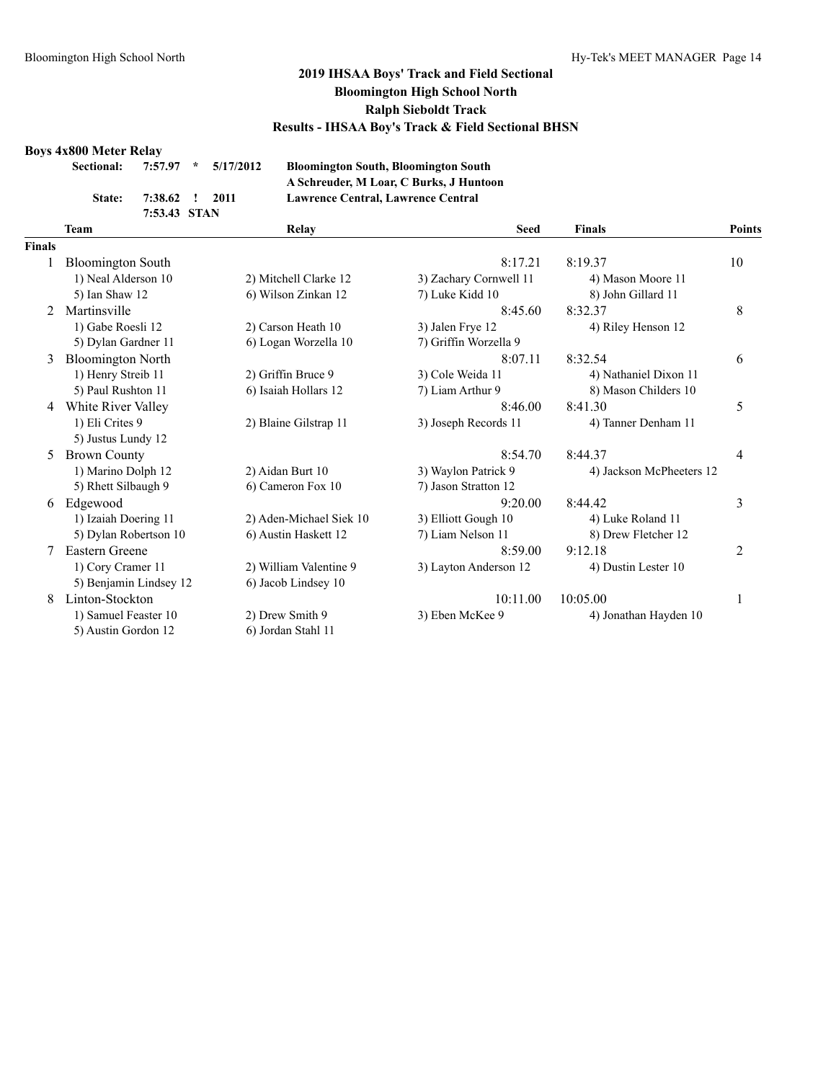#### **Boys 4x800 Meter Relay**

| Sectional: 7:57.97 * 5/17/2012 |                       |  |
|--------------------------------|-----------------------|--|
|                                | State: 7:38.62 ! 2011 |  |
|                                | 7:53.43 STAN          |  |

**Sectional: 7:57.97 \* 5/17/2012 Bloomington South, Bloomington South A Schreuder, M Loar, C Burks, J Huntoon State: 7:38.62 ! 2011 Lawrence Central, Lawrence Central**

|               | <b>Team</b>              | Relay                   | <b>Seed</b>            | <b>Finals</b>            | Points |
|---------------|--------------------------|-------------------------|------------------------|--------------------------|--------|
| <b>Finals</b> |                          |                         |                        |                          |        |
|               | <b>Bloomington South</b> |                         | 8:17.21                | 8:19.37                  | 10     |
|               | 1) Neal Alderson 10      | 2) Mitchell Clarke 12   | 3) Zachary Cornwell 11 | 4) Mason Moore 11        |        |
|               | 5) Ian Shaw 12           | 6) Wilson Zinkan 12     | 7) Luke Kidd 10        | 8) John Gillard 11       |        |
| $2^{1}$       | Martinsville             |                         | 8:45.60                | 8:32.37                  | 8      |
|               | 1) Gabe Roesli 12        | 2) Carson Heath 10      | 3) Jalen Frye 12       | 4) Riley Henson 12       |        |
|               | 5) Dylan Gardner 11      | 6) Logan Worzella 10    | 7) Griffin Worzella 9  |                          |        |
| 3             | <b>Bloomington North</b> |                         | 8:07.11                | 8:32.54                  | 6      |
|               | 1) Henry Streib 11       | 2) Griffin Bruce 9      | 3) Cole Weida 11       | 4) Nathaniel Dixon 11    |        |
|               | 5) Paul Rushton 11       | 6) Isaiah Hollars 12    | 7) Liam Arthur 9       | 8) Mason Childers 10     |        |
| 4             | White River Valley       |                         | 8:46.00                | 8:41.30                  | 5      |
|               | 1) Eli Crites 9          | 2) Blaine Gilstrap 11   | 3) Joseph Records 11   | 4) Tanner Denham 11      |        |
|               | 5) Justus Lundy 12       |                         |                        |                          |        |
| 5.            | <b>Brown County</b>      |                         | 8:54.70                | 8:44.37                  | 4      |
|               | 1) Marino Dolph 12       | 2) Aidan Burt 10        | 3) Waylon Patrick 9    | 4) Jackson McPheeters 12 |        |
|               | 5) Rhett Silbaugh 9      | 6) Cameron Fox 10       | 7) Jason Stratton 12   |                          |        |
| 6             | Edgewood                 |                         | 9:20.00                | 8:44.42                  | 3      |
|               | 1) Izaiah Doering 11     | 2) Aden-Michael Siek 10 | 3) Elliott Gough 10    | 4) Luke Roland 11        |        |
|               | 5) Dylan Robertson 10    | 6) Austin Haskett 12    | 7) Liam Nelson 11      | 8) Drew Fletcher 12      |        |
|               | Eastern Greene           |                         | 8:59.00                | 9:12.18                  | 2      |
|               | 1) Cory Cramer 11        | 2) William Valentine 9  | 3) Layton Anderson 12  | 4) Dustin Lester 10      |        |
|               | 5) Benjamin Lindsey 12   | 6) Jacob Lindsey 10     |                        |                          |        |
| 8             | Linton-Stockton          |                         | 10:11.00               | 10:05.00                 | 1      |
|               | 1) Samuel Feaster 10     | 2) Drew Smith 9         | 3) Eben McKee 9        | 4) Jonathan Hayden 10    |        |
|               | 5) Austin Gordon 12      | 6) Jordan Stahl 11      |                        |                          |        |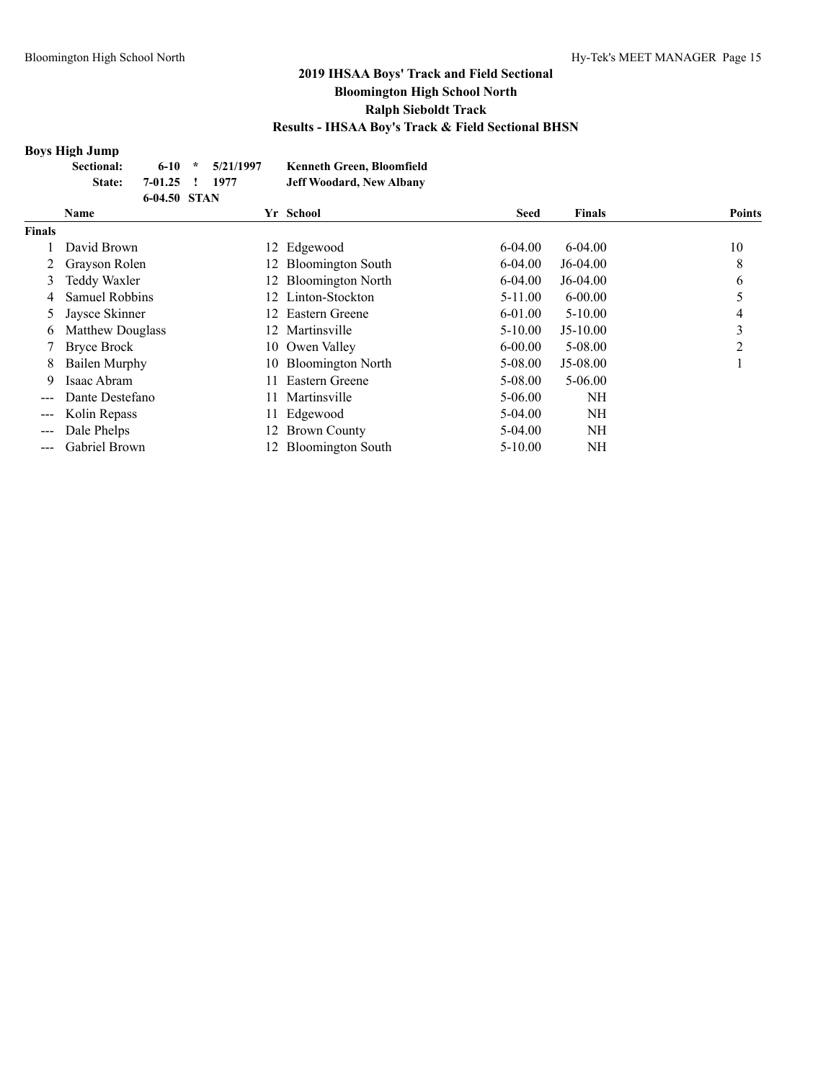#### **Boys High Jump**

| <b>Sectional:</b> |                | $6-10 \div 5/21/1997$ | <b>Kenneth Green, Bloomfield</b> |
|-------------------|----------------|-----------------------|----------------------------------|
| State:            | 7-01.25 ! 1977 |                       | <b>Jeff Woodard, New Albany</b>  |
|                   | 6-04.50 STAN   |                       |                                  |

|                   | Name                    |     | Yr School                | <b>Seed</b> | <b>Finals</b> | <b>Points</b> |
|-------------------|-------------------------|-----|--------------------------|-------------|---------------|---------------|
| <b>Finals</b>     |                         |     |                          |             |               |               |
|                   | David Brown             |     | 12 Edgewood              | $6 - 04.00$ | $6 - 04.00$   | 10            |
|                   | Grayson Rolen           |     | 12 Bloomington South     | $6 - 04.00$ | $J6-04.00$    | 8             |
| 3                 | Teddy Waxler            |     | 12 Bloomington North     | $6 - 04.00$ | $J6-04.00$    | 6             |
| 4                 | Samuel Robbins          |     | 12 Linton-Stockton       | $5 - 11.00$ | $6 - 00.00$   |               |
| 5.                | Jaysce Skinner          | 12. | Eastern Greene           | 6-01.00     | $5 - 10.00$   |               |
| 6                 | <b>Matthew Douglass</b> | 12. | Martinsville             | $5 - 10.00$ | $J5-10.00$    | 3             |
|                   | Bryce Brock             |     | 10 Owen Valley           | $6 - 00.00$ | $5 - 08.00$   | 2             |
| 8                 | Bailen Murphy           |     | 10 Bloomington North     | 5-08.00     | $J5-08.00$    |               |
| 9                 | Isaac Abram             | 11. | Eastern Greene           | 5-08.00     | $5 - 06.00$   |               |
| ---               | Dante Destefano         | 11. | Martinsville             | 5-06.00     | <b>NH</b>     |               |
| ---               | Kolin Repass            |     | 11 Edgewood              | 5-04.00     | NH            |               |
| $\qquad \qquad -$ | Dale Phelps             | 12. | <b>Brown County</b>      | 5-04.00     | NH            |               |
|                   | <b>Gabriel Brown</b>    | 12  | <b>Bloomington South</b> | $5 - 10.00$ | NH            |               |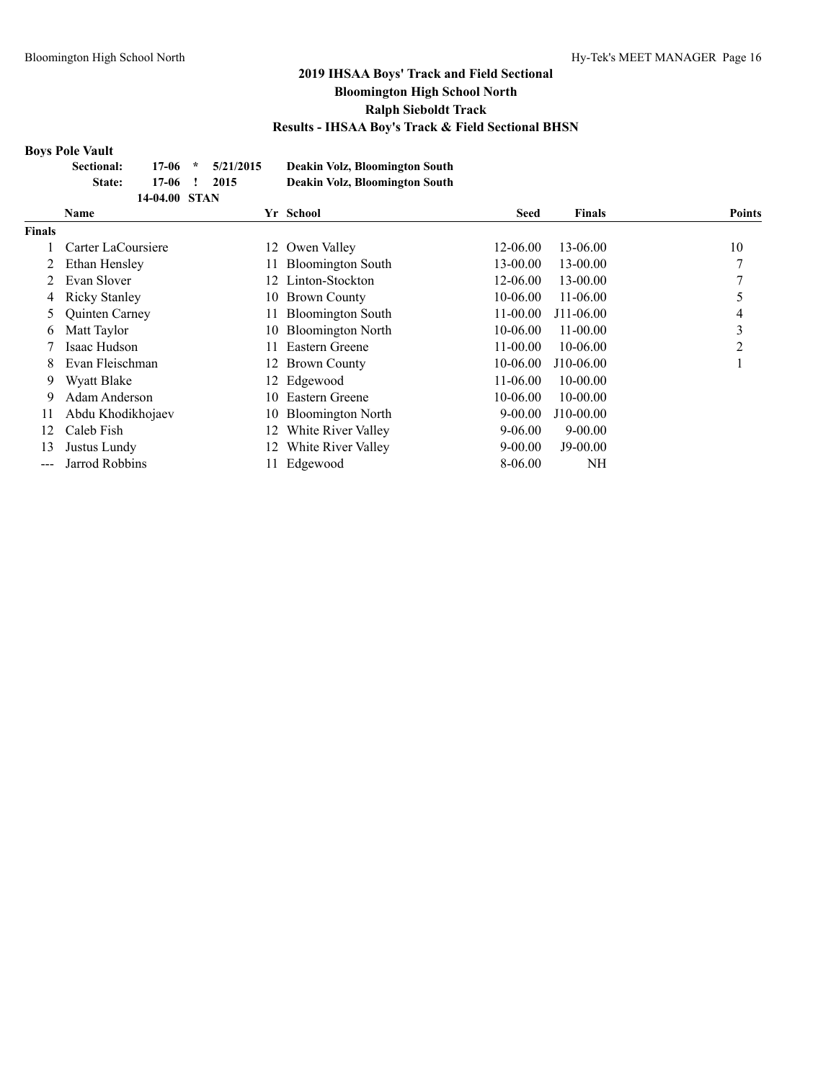#### **Boys Pole Vault**

| Sectional: |               | $17-06$ * $5/21/2015$ | Deakin Volz, Bloomington South |
|------------|---------------|-----------------------|--------------------------------|
| State:     | $17-06$ !     | 2015                  | Deakin Volz, Bloomington South |
|            | 14-04.00 STAN |                       |                                |

|        | <b>Name</b>           |     | Yr School                | <b>Seed</b>  | <b>Finals</b> | <b>Points</b>  |
|--------|-----------------------|-----|--------------------------|--------------|---------------|----------------|
| Finals |                       |     |                          |              |               |                |
|        | Carter LaCoursiere    | 12  | Owen Valley              | $12 - 06.00$ | 13-06.00      | 10             |
|        | Ethan Hensley         |     | <b>Bloomington South</b> | 13-00.00     | 13-00.00      | 7              |
|        | Evan Slover           |     | 12 Linton-Stockton       | 12-06.00     | 13-00.00      |                |
| 4      | <b>Ricky Stanley</b>  | 10. | <b>Brown County</b>      | 10-06.00     | $11-06.00$    |                |
| 5      | <b>Quinten Carney</b> |     | <b>Bloomington South</b> | $11 - 00.00$ | $J11-06.00$   | 4              |
| 6      | Matt Taylor           | 10- | <b>Bloomington North</b> | $10 - 06.00$ | $11 - 00.00$  | 3              |
|        | Isaac Hudson          |     | Eastern Greene           | $11-00.00$   | 10-06.00      | $\mathfrak{D}$ |
| 8      | Evan Fleischman       |     | 12 Brown County          | $10 - 06.00$ | $J10-06.00$   |                |
| 9      | Wyatt Blake           |     | 12 Edgewood              | $11-06.00$   | $10 - 00.00$  |                |
| 9      | Adam Anderson         | 10  | Eastern Greene           | 10-06.00     | $10 - 00.00$  |                |
| 11     | Abdu Khodikhojaev     |     | 10 Bloomington North     | $9 - 00.00$  | $J10-00.00$   |                |
| 12     | Caleb Fish            |     | White River Valley       | 9-06.00      | $9 - 00.00$   |                |
| 13     | Justus Lundy          |     | White River Valley       | $9 - 00.00$  | $J9-00.00$    |                |
| ---    | Jarrod Robbins        |     | Edgewood                 | 8-06.00      | NH            |                |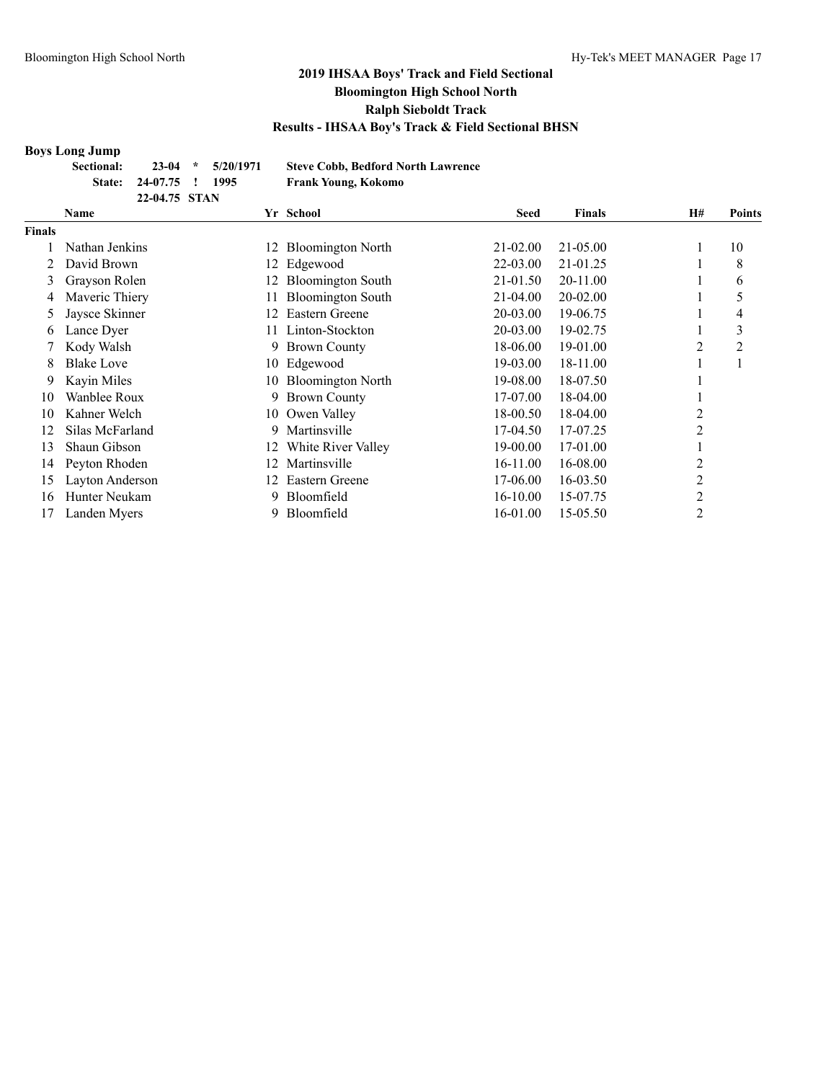#### **Boys Long Jump**

| -------<br><b>Sectional:</b> |                        | $23-04$ * $5/20/1971$ | <b>Steve Cobb, Bedford North Lawrence</b> |
|------------------------------|------------------------|-----------------------|-------------------------------------------|
|                              | State: 24-07.75 ! 1995 |                       | Frank Young, Kokomo                       |
|                              | 22-04.75 STAN          |                       |                                           |

|        | Name              |     | Yr School                | <b>Seed</b>  | <b>Finals</b> | H# | <b>Points</b> |
|--------|-------------------|-----|--------------------------|--------------|---------------|----|---------------|
| Finals |                   |     |                          |              |               |    |               |
|        | Nathan Jenkins    | 12  | <b>Bloomington North</b> | 21-02.00     | 21-05.00      |    | 10            |
|        | David Brown       | 12  | Edgewood                 | 22-03.00     | 21-01.25      |    | 8             |
| 3      | Grayson Rolen     | 12. | <b>Bloomington South</b> | 21-01.50     | 20-11.00      |    | 6             |
| 4      | Maveric Thiery    |     | <b>Bloomington South</b> | $21 - 04.00$ | 20-02.00      |    | 5             |
| 5      | Jaysce Skinner    | 12  | Eastern Greene           | 20-03.00     | 19-06.75      |    | 4             |
| 6      | Lance Dyer        | 11. | Linton-Stockton          | 20-03.00     | 19-02.75      |    | 3             |
|        | Kody Walsh        | 9   | <b>Brown County</b>      | 18-06.00     | 19-01.00      |    | 2             |
| 8      | <b>Blake Love</b> |     | 10 Edgewood              | 19-03.00     | 18-11.00      |    |               |
| 9      | Kayin Miles       |     | 10 Bloomington North     | 19-08.00     | 18-07.50      |    |               |
| 10     | Wanblee Roux      | 9   | <b>Brown County</b>      | 17-07.00     | 18-04.00      |    |               |
| 10     | Kahner Welch      |     | 10 Owen Valley           | 18-00.50     | 18-04.00      |    |               |
| 12     | Silas McFarland   | 9.  | Martinsville             | 17-04.50     | 17-07.25      | 2  |               |
| 13     | Shaun Gibson      | 12  | White River Valley       | 19-00.00     | 17-01.00      |    |               |
| 14     | Peyton Rhoden     | 12  | Martinsville             | 16-11.00     | 16-08.00      | 2  |               |
| 15     | Layton Anderson   | 12  | Eastern Greene           | 17-06.00     | 16-03.50      | 2  |               |
| 16     | Hunter Neukam     | 9   | Bloomfield               | 16-10.00     | 15-07.75      | 2  |               |
|        | Landen Myers      | 9   | Bloomfield               | 16-01.00     | 15-05.50      | 2  |               |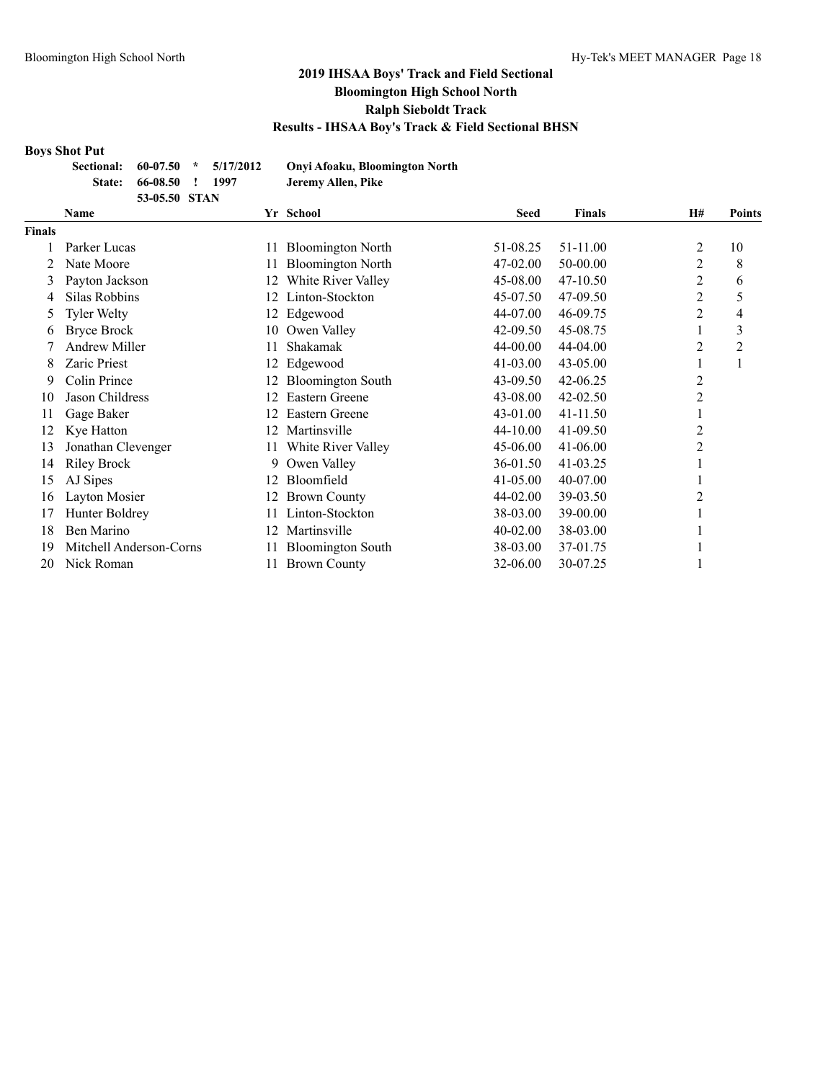#### **Boys Shot Put**

| Sectional:    |               | $60-07.50$ * $5/17/2012$ | Onyi Afoaku, Bloomington North |
|---------------|---------------|--------------------------|--------------------------------|
| <b>State:</b> | 66-08.50 !    | 1997                     | Jeremy Allen, Pike             |
|               | 53-05.50 STAN |                          |                                |

|        | Name                    |     | Yr School                | <b>Seed</b> | <b>Finals</b> | <b>H#</b>      | <b>Points</b>  |
|--------|-------------------------|-----|--------------------------|-------------|---------------|----------------|----------------|
| Finals |                         |     |                          |             |               |                |                |
|        | Parker Lucas            | 11  | <b>Bloomington North</b> | 51-08.25    | 51-11.00      | 2              | 10             |
|        | Nate Moore              |     | <b>Bloomington North</b> | 47-02.00    | 50-00.00      | 2              | 8              |
| 3      | Payton Jackson          | 12  | White River Valley       | 45-08.00    | 47-10.50      | 2              | 6              |
| 4      | Silas Robbins           |     | Linton-Stockton          | 45-07.50    | 47-09.50      | 2              | 5              |
| 5      | <b>Tyler Welty</b>      | 12  | Edgewood                 | 44-07.00    | 46-09.75      | 2              | 4              |
| 6      | <b>Bryce Brock</b>      | 10  | Owen Valley              | 42-09.50    | 45-08.75      |                | 3              |
|        | <b>Andrew Miller</b>    | 11. | Shakamak                 | 44-00.00    | 44-04.00      | $\overline{c}$ | $\overline{c}$ |
| 8      | <b>Zaric Priest</b>     | 12  | Edgewood                 | 41-03.00    | $43 - 05.00$  |                |                |
| 9      | Colin Prince            |     | <b>Bloomington South</b> | 43-09.50    | 42-06.25      | 2              |                |
| 10     | Jason Childress         | 12. | Eastern Greene           | 43-08.00    | $42 - 02.50$  | $\overline{c}$ |                |
| 11     | Gage Baker              |     | Eastern Greene           | 43-01.00    | 41-11.50      |                |                |
| 12     | Kye Hatton              | 12  | Martinsville             | 44-10.00    | 41-09.50      | $\overline{c}$ |                |
| 13     | Jonathan Clevenger      | 11  | White River Valley       | 45-06.00    | $41 - 06.00$  | 2              |                |
| 14     | <b>Riley Brock</b>      | 9.  | Owen Valley              | 36-01.50    | 41-03.25      |                |                |
| 15     | AJ Sipes                |     | Bloomfield               | 41-05.00    | 40-07.00      |                |                |
| 16     | Layton Mosier           | 12  | <b>Brown County</b>      | 44-02.00    | 39-03.50      |                |                |
| 17     | Hunter Boldrey          |     | Linton-Stockton          | 38-03.00    | 39-00.00      |                |                |
| 18     | Ben Marino              | 12  | Martinsville             | 40-02.00    | 38-03.00      |                |                |
| 19     | Mitchell Anderson-Corns |     | <b>Bloomington South</b> | 38-03.00    | 37-01.75      |                |                |
| 20     | Nick Roman              |     | <b>Brown County</b>      | 32-06.00    | 30-07.25      |                |                |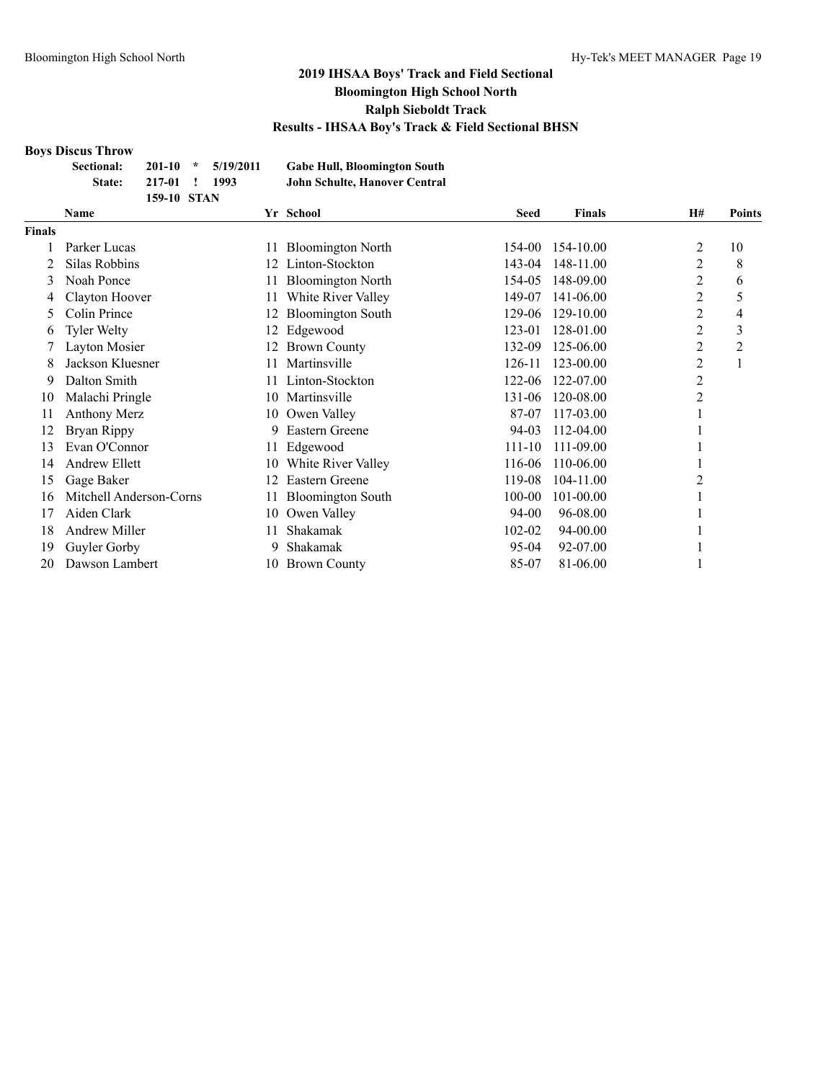#### **Boys Discus Throw**

|               | Sectional:<br>State: | $201 - 10$<br>217-01<br>159-10 STAN | $\star$ | 5/19/2011<br>1993 |     | <b>Gabe Hull, Bloomington South</b><br><b>John Schulte, Hanover Central</b> |        |                  |                |               |
|---------------|----------------------|-------------------------------------|---------|-------------------|-----|-----------------------------------------------------------------------------|--------|------------------|----------------|---------------|
|               | <b>Name</b>          |                                     |         |                   |     | Yr School                                                                   | Seed   | <b>Finals</b>    | <b>H#</b>      | <b>Points</b> |
| <b>Finals</b> |                      |                                     |         |                   |     |                                                                             |        |                  |                |               |
|               | Parker Lucas         |                                     |         |                   | 11  | <b>Bloomington North</b>                                                    | 154-00 | 154-10.00        |                | 10            |
|               | Silas Robbins        |                                     |         |                   | 12. | Linton-Stockton                                                             | 143-04 | 148-11.00        | 2              | 8             |
|               | Noah Ponce           |                                     |         |                   |     | <b>Bloomington North</b>                                                    |        | 154-05 148-09.00 | 2              | 6             |
|               | Clayton Hoover       |                                     |         |                   | 11  | White River Valley                                                          | 149-07 | 141-06.00        | 2              |               |
|               | Colin Prince         |                                     |         |                   | 12. | <b>Bloomington South</b>                                                    | 129-06 | 129-10.00        | $\overline{c}$ | 4             |
| 6             | <b>Tyler Welty</b>   |                                     |         |                   |     | 12 Edgewood                                                                 | 123-01 | 128-01.00        | $\overline{2}$ | 3             |
|               | Layton Mosier        |                                     |         |                   |     | 12 Brown County                                                             | 132-09 | 125-06.00        | 2              | 2             |
| 8.            | Jackson Kluesner     |                                     |         |                   |     | Martinsville                                                                | 126-11 | 123-00.00        | 2              |               |
| 9             | Dalton Smith         |                                     |         |                   |     | Linton-Stockton                                                             | 122-06 | 122-07.00        | $\overline{2}$ |               |

| 8   | Jackson Kluesner           | 11 | Martinsville          | 126-11     | 123-00.00        | 2 |  |
|-----|----------------------------|----|-----------------------|------------|------------------|---|--|
| 9.  | Dalton Smith               |    | 11 Linton-Stockton    |            | 122-06 122-07.00 | 2 |  |
| 10  | Malachi Pringle            |    | 10 Martinsville       |            | 131-06 120-08.00 | 2 |  |
| 11  | Anthony Merz               |    | 10 Owen Valley        | 87-07      | 117-03.00        |   |  |
|     | 12 Bryan Rippy             |    | 9 Eastern Greene      | 94-03      | $112 - 04.00$    |   |  |
| 13. | Evan O'Connor              |    | 11 Edgewood           | $111 - 10$ | 111-09.00        |   |  |
|     | 14 Andrew Ellett           |    | 10 White River Valley |            | 116-06 110-06.00 |   |  |
|     | 15 Gage Baker              |    | 12 Eastern Greene     | 119-08     | 104-11.00        | 2 |  |
|     | 16 Mitchell Anderson-Corns |    | 11 Bloomington South  | 100-00     | $101 - 00.00$    |   |  |
| 17  | Aiden Clark                |    | 10 Owen Valley        | $94-00$    | 96-08.00         |   |  |
| 18  | Andrew Miller              | 11 | Shakamak              | $102 - 02$ | 94-00.00         |   |  |
| 19  | Guyler Gorby               | 9. | Shakamak              | $95-04$    | 92-07.00         |   |  |
|     | 20 Dawson Lambert          |    | 10 Brown County       | 85-07      | 81-06.00         |   |  |